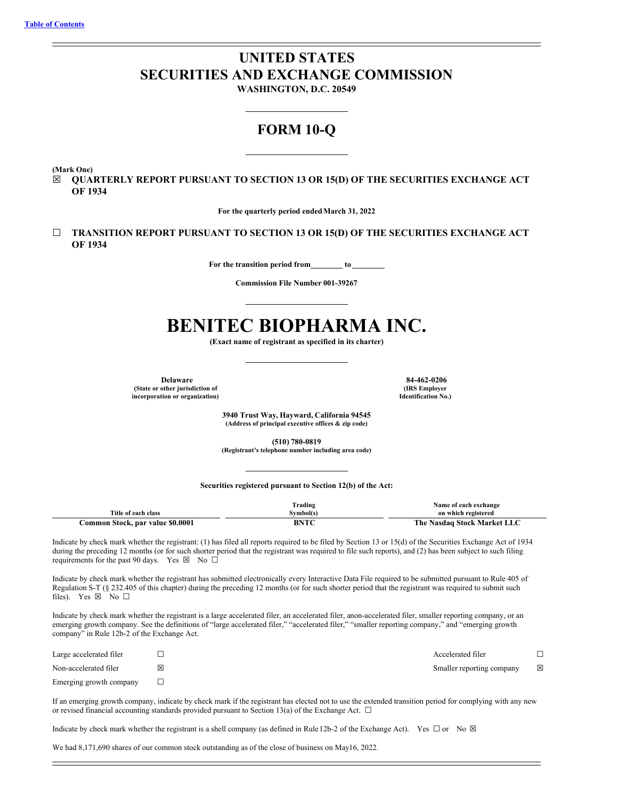# **UNITED STATES SECURITIES AND EXCHANGE COMMISSION**

**WASHINGTON, D.C. 20549**

# **FORM 10-Q**

**(Mark One)**

☒ **QUARTERLY REPORT PURSUANT TO SECTION 13 OR 15(D) OF THE SECURITIES EXCHANGE ACT OF 1934**

**For the quarterly period endedMarch 31, 2022**

☐ **TRANSITION REPORT PURSUANT TO SECTION 13 OR 15(D) OF THE SECURITIES EXCHANGE ACT OF 1934**

**For the transition period from to**

**Commission File Number 001-39267**

# **BENITEC BIOPHARMA INC.**

**(Exact name of registrant as specified in its charter)**

**Delaware 84-462-0206 (State or other jurisdiction of incorporation or organization)**

**(IRS Employer Identification No.)**

**3940 Trust Way, Hayward, California 94545 (Address of principal executive offices & zip code)**

**(510) 780-0819 (Registrant's telephone number including area code)**

**Securities registered pursuant to Section 12(b) of the Act:**

|                                  | Frading     | Name of each exchange                   |
|----------------------------------|-------------|-----------------------------------------|
| Title of each class              | Svmbol(s)   | on which registered                     |
| Common Stock, par value \$0.0001 | <b>DNTC</b> | The .<br>ాంα Stock Market LLC<br>√asdaɑ |

Indicate by check mark whether the registrant: (1) has filed all reports required to be filed by Section 13 or 15(d) of the Securities Exchange Act of 1934 during the preceding 12 months (or for such shorter period that the registrant was required to file such reports), and (2) has been subject to such filing requirements for the past 90 days. Yes  $\boxtimes$  No  $\Box$ 

Indicate by check mark whether the registrant has submitted electronically every Interactive Data File required to be submitted pursuant to Rule 405 of Regulation S-T (§ 232.405 of this chapter) during the preceding 12 months (or for such shorter period that the registrant was required to submit such files). Yes  $\boxtimes$  No  $\square$ 

Indicate by check mark whether the registrant is a large accelerated filer, an accelerated filer, anon-accelerated filer, smaller reporting company, or an emerging growth company. See the definitions of "large accelerated filer," "accelerated filer," "smaller reporting company," and "emerging growth company" in Rule 12b-2 of the Exchange Act.

| Large accelerated filer |   | Accelerated filer         |             |
|-------------------------|---|---------------------------|-------------|
| Non-accelerated filer   | 冈 | Smaller reporting company | $\boxtimes$ |
| Emerging growth company |   |                           |             |

If an emerging growth company, indicate by check mark if the registrant has elected not to use the extended transition period for complying with any new or revised financial accounting standards provided pursuant to Section 13(a) of the Exchange Act.  $\Box$ 

Indicate by check mark whether the registrant is a shell company (as defined in Rule 12b-2 of the Exchange Act). Yes  $\Box$  or No  $\boxtimes$ 

We had 8,171,690 shares of our common stock outstanding as of the close of business on May16, 2022.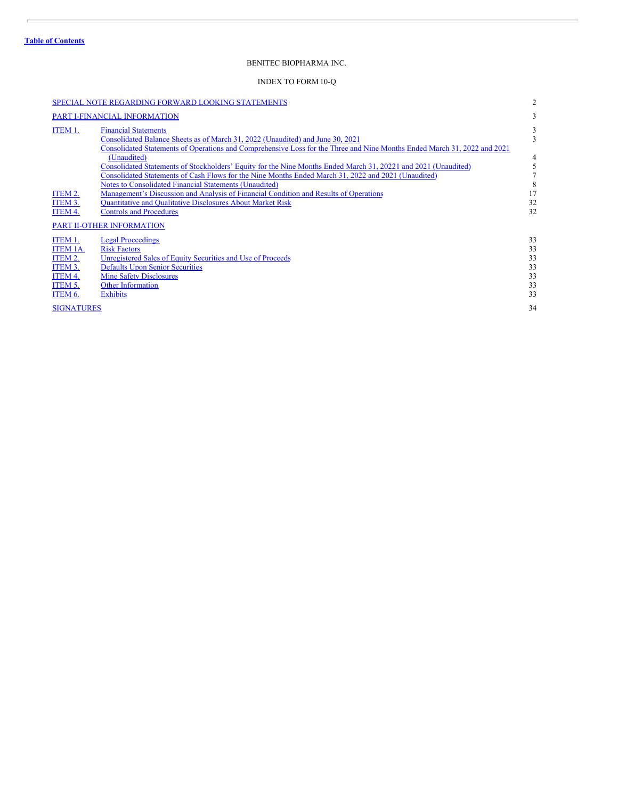# BENITEC BIOPHARMA INC.

# INDEX TO FORM 10-Q

<span id="page-1-0"></span>

|                   | <b>SPECIAL NOTE REGARDING FORWARD LOOKING STATEMENTS</b>                                                                 | 2  |
|-------------------|--------------------------------------------------------------------------------------------------------------------------|----|
|                   | PART I-FINANCIAL INFORMATION                                                                                             | 3  |
| ITEM 1.           | <b>Financial Statements</b>                                                                                              | 3  |
|                   | Consolidated Balance Sheets as of March 31, 2022 (Unaudited) and June 30, 2021                                           | 3  |
|                   | Consolidated Statements of Operations and Comprehensive Loss for the Three and Nine Months Ended March 31, 2022 and 2021 |    |
|                   | (Unaudited)                                                                                                              | 4  |
|                   | Consolidated Statements of Stockholders' Equity for the Nine Months Ended March 31, 20221 and 2021 (Unaudited)           | 5  |
|                   | Consolidated Statements of Cash Flows for the Nine Months Ended March 31, 2022 and 2021 (Unaudited)                      |    |
|                   | <b>Notes to Consolidated Financial Statements (Unaudited)</b>                                                            | 8  |
| ITEM 2.           | Management's Discussion and Analysis of Financial Condition and Results of Operations                                    | 17 |
| ITEM 3.           | <b>Quantitative and Qualitative Disclosures About Market Risk</b>                                                        | 32 |
| ITEM 4.           | <b>Controls and Procedures</b>                                                                                           | 32 |
|                   | PART II-OTHER INFORMATION                                                                                                |    |
| ITEM 1.           | <b>Legal Proceedings</b>                                                                                                 | 33 |
| ITEM 1A.          | <b>Risk Factors</b>                                                                                                      | 33 |
| ITEM 2.           | Unregistered Sales of Equity Securities and Use of Proceeds                                                              | 33 |
| ITEM 3.           | <b>Defaults Upon Senior Securities</b>                                                                                   | 33 |
| ITEM 4.           | <b>Mine Safety Disclosures</b>                                                                                           | 33 |
| ITEM 5.           | Other Information                                                                                                        | 33 |
| ITEM 6.           | <b>Exhibits</b>                                                                                                          | 33 |
| <b>SIGNATURES</b> |                                                                                                                          | 34 |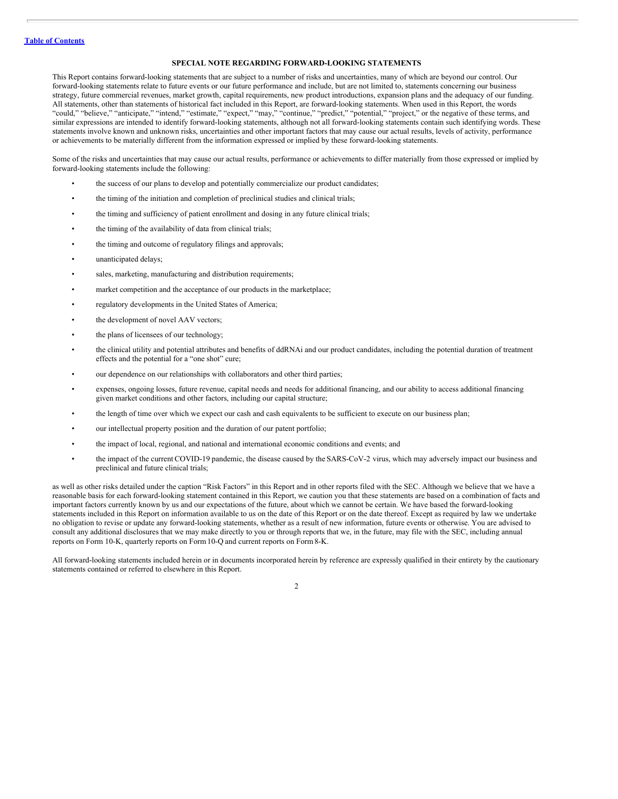#### **SPECIAL NOTE REGARDING FORWARD-LOOKING STATEMENTS**

<span id="page-2-0"></span>This Report contains forward-looking statements that are subject to a number of risks and uncertainties, many of which are beyond our control. Our forward-looking statements relate to future events or our future performance and include, but are not limited to, statements concerning our business strategy, future commercial revenues, market growth, capital requirements, new product introductions, expansion plans and the adequacy of our funding. All statements, other than statements of historical fact included in this Report, are forward-looking statements. When used in this Report, the words "could," "believe," "anticipate," "intend," "estimate," "expect," "may," "continue," "predict," "potential," "project," or the negative of these terms, and similar expressions are intended to identify forward-looking statements, although not all forward-looking statements contain such identifying words. These statements involve known and unknown risks, uncertainties and other important factors that may cause our actual results, levels of activity, performance or achievements to be materially different from the information expressed or implied by these forward-looking statements.

Some of the risks and uncertainties that may cause our actual results, performance or achievements to differ materially from those expressed or implied by forward-looking statements include the following:

- the success of our plans to develop and potentially commercialize our product candidates;
- the timing of the initiation and completion of preclinical studies and clinical trials;
- the timing and sufficiency of patient enrollment and dosing in any future clinical trials;
- the timing of the availability of data from clinical trials;
- the timing and outcome of regulatory filings and approvals;
- unanticipated delays;
- sales, marketing, manufacturing and distribution requirements;
- market competition and the acceptance of our products in the marketplace;
- regulatory developments in the United States of America;
- the development of novel AAV vectors;
- the plans of licensees of our technology;
- the clinical utility and potential attributes and benefits of ddRNAi and our product candidates, including the potential duration of treatment effects and the potential for a "one shot" cure;
- our dependence on our relationships with collaborators and other third parties;
- expenses, ongoing losses, future revenue, capital needs and needs for additional financing, and our ability to access additional financing given market conditions and other factors, including our capital structure;
- the length of time over which we expect our cash and cash equivalents to be sufficient to execute on our business plan;
- our intellectual property position and the duration of our patent portfolio;
- the impact of local, regional, and national and international economic conditions and events; and
- the impact of the current COVID-19 pandemic, the disease caused by the SARS-CoV-2 virus, which may adversely impact our business and preclinical and future clinical trials;

as well as other risks detailed under the caption "Risk Factors" in this Report and in other reports filed with the SEC. Although we believe that we have a reasonable basis for each forward-looking statement contained in this Report, we caution you that these statements are based on a combination of facts and important factors currently known by us and our expectations of the future, about which we cannot be certain. We have based the forward-looking statements included in this Report on information available to us on the date of this Report or on the date thereof. Except as required by law we undertake no obligation to revise or update any forward-looking statements, whether as a result of new information, future events or otherwise. You are advised to consult any additional disclosures that we may make directly to you or through reports that we, in the future, may file with the SEC, including annual reports on Form 10-K, quarterly reports on Form10-Q and current reports on Form 8-K.

All forward-looking statements included herein or in documents incorporated herein by reference are expressly qualified in their entirety by the cautionary statements contained or referred to elsewhere in this Report.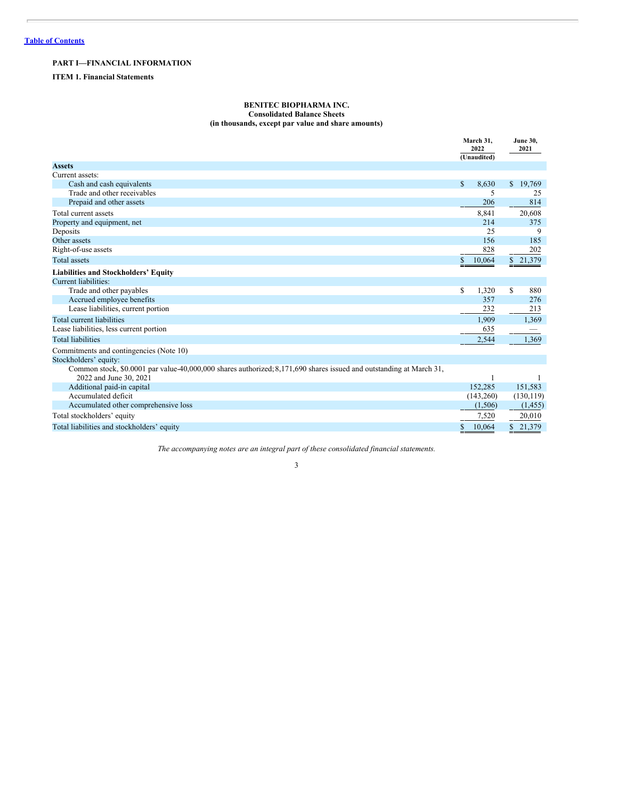# <span id="page-3-0"></span>**PART I—FINANCIAL INFORMATION**

<span id="page-3-1"></span>**ITEM 1. Financial Statements**

# **BENITEC BIOPHARMA INC. Consolidated Balance Sheets (in thousands, except par value and share amounts)**

<span id="page-3-2"></span>

|                                                                                                                     |               | March 31,<br>2022<br>(Unaudited) | <b>June 30,</b><br>2021 |
|---------------------------------------------------------------------------------------------------------------------|---------------|----------------------------------|-------------------------|
| <b>Assets</b>                                                                                                       |               |                                  |                         |
| Current assets:                                                                                                     |               |                                  |                         |
| Cash and cash equivalents                                                                                           | $\mathcal{S}$ | 8,630                            | \$19,769                |
| Trade and other receivables                                                                                         |               | 5                                | 25                      |
| Prepaid and other assets                                                                                            |               | 206                              | 814                     |
| Total current assets                                                                                                |               | 8,841                            | 20,608                  |
| Property and equipment, net                                                                                         |               | 214                              | 375                     |
| Deposits                                                                                                            |               | 25                               | 9                       |
| Other assets                                                                                                        |               | 156                              | 185                     |
| Right-of-use assets                                                                                                 |               | 828                              | 202                     |
| <b>Total</b> assets                                                                                                 |               | 10,064                           | \$21,379                |
| <b>Liabilities and Stockholders' Equity</b>                                                                         |               |                                  |                         |
| Current liabilities:                                                                                                |               |                                  |                         |
| Trade and other payables                                                                                            | S             | 1,320                            | \$<br>880               |
| Accrued employee benefits                                                                                           |               | 357                              | 276                     |
| Lease liabilities, current portion                                                                                  |               | 232                              | 213                     |
| Total current liabilities                                                                                           |               | 1.909                            | 1,369                   |
| Lease liabilities, less current portion                                                                             |               | 635                              |                         |
| <b>Total liabilities</b>                                                                                            |               | 2,544                            | 1,369                   |
| Commitments and contingencies (Note 10)                                                                             |               |                                  |                         |
| Stockholders' equity:                                                                                               |               |                                  |                         |
| Common stock, \$0.0001 par value-40,000,000 shares authorized; 8,171,690 shares issued and outstanding at March 31, |               |                                  |                         |
| 2022 and June 30, 2021                                                                                              |               |                                  |                         |
| Additional paid-in capital                                                                                          |               | 152.285                          | 151,583                 |
| Accumulated deficit                                                                                                 |               | (143,260)                        | (130, 119)              |
| Accumulated other comprehensive loss                                                                                |               | (1,506)                          | (1, 455)                |
| Total stockholders' equity                                                                                          |               | 7,520                            | 20,010                  |
| Total liabilities and stockholders' equity                                                                          | \$            | 10,064                           | \$21,379                |

*The accompanying notes are an integral part of these consolidated financial statements.*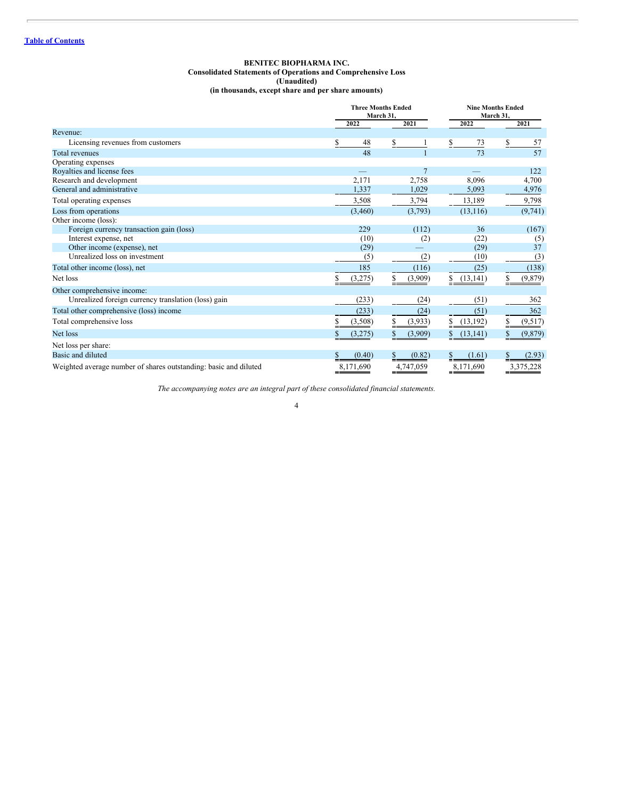#### **BENITEC BIOPHARMA INC. Consolidated Statements of Operations and Comprehensive Loss (Unaudited) (in thousands, except share and per share amounts)**

<span id="page-4-0"></span>

|                                                                  | <b>Three Months Ended</b><br>March 31, |           |   | <b>Nine Months Ended</b><br>March 31, |    |           |    |           |
|------------------------------------------------------------------|----------------------------------------|-----------|---|---------------------------------------|----|-----------|----|-----------|
|                                                                  |                                        | 2022      |   | 2021                                  |    | 2022      |    | 2021      |
| Revenue:                                                         |                                        |           |   |                                       |    |           |    |           |
| Licensing revenues from customers                                | \$                                     | 48        | S |                                       | \$ | 73        | \$ | 57        |
| <b>Total revenues</b>                                            |                                        | 48        |   |                                       |    | 73        |    | 57        |
| Operating expenses                                               |                                        |           |   |                                       |    |           |    |           |
| Royalties and license fees                                       |                                        |           |   |                                       |    |           |    | 122       |
| Research and development                                         |                                        | 2,171     |   | 2,758                                 |    | 8,096     |    | 4,700     |
| General and administrative                                       |                                        | 1,337     |   | 1,029                                 |    | 5,093     |    | 4,976     |
| Total operating expenses                                         |                                        | 3,508     |   | 3,794                                 |    | 13,189    |    | 9,798     |
| Loss from operations                                             |                                        | (3,460)   |   | (3,793)                               |    | (13, 116) |    | (9,741)   |
| Other income (loss):                                             |                                        |           |   |                                       |    |           |    |           |
| Foreign currency transaction gain (loss)                         |                                        | 229       |   | (112)                                 |    | 36        |    | (167)     |
| Interest expense, net                                            |                                        | (10)      |   | (2)                                   |    | (22)      |    | (5)       |
| Other income (expense), net                                      |                                        | (29)      |   |                                       |    | (29)      |    | 37        |
| Unrealized loss on investment                                    |                                        | (5)       |   | (2)                                   |    | (10)      |    | (3)       |
| Total other income (loss), net                                   |                                        | 185       |   | (116)                                 |    | (25)      |    | (138)     |
| Net loss                                                         |                                        | (3,275)   |   | (3,909)                               | \$ | (13, 141) |    | (9, 879)  |
| Other comprehensive income:                                      |                                        |           |   |                                       |    |           |    |           |
| Unrealized foreign currency translation (loss) gain              |                                        | (233)     |   | (24)                                  |    | (51)      |    | 362       |
| Total other comprehensive (loss) income                          |                                        | (233)     |   | (24)                                  |    | (51)      |    | 362       |
| Total comprehensive loss                                         |                                        | (3,508)   |   | (3,933)                               |    | (13, 192) |    | (9, 517)  |
| Net loss                                                         |                                        | (3,275)   |   | (3,909)                               | \$ | (13, 141) |    | (9, 879)  |
| Net loss per share:                                              |                                        |           |   |                                       |    |           |    |           |
| Basic and diluted                                                |                                        | (0.40)    |   | (0.82)                                | S  | (1.61)    |    | (2.93)    |
| Weighted average number of shares outstanding: basic and diluted |                                        | 8.171.690 |   | 4,747,059                             |    | 8,171,690 |    | 3,375,228 |

*The accompanying notes are an integral part of these consolidated financial statements.*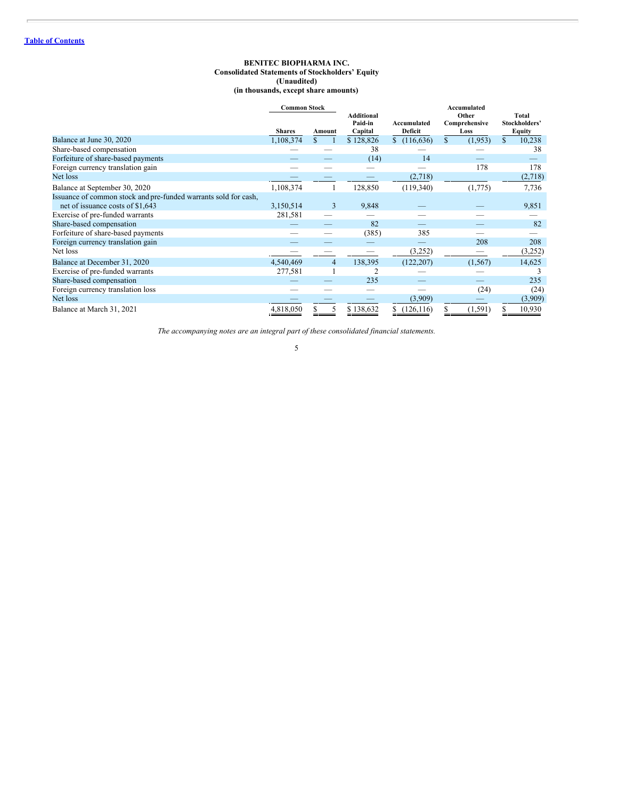#### **BENITEC BIOPHARMA INC. Consolidated Statements of Stockholders' Equity (Unaudited) (in thousands, except share amounts)**

<span id="page-5-0"></span>

|                                                                                                     | <b>Common Stock</b> |                |                                         |                        |                                |                                  |
|-----------------------------------------------------------------------------------------------------|---------------------|----------------|-----------------------------------------|------------------------|--------------------------------|----------------------------------|
|                                                                                                     | <b>Shares</b>       | Amount         | <b>Additional</b><br>Paid-in<br>Capital | Accumulated<br>Deficit | Other<br>Comprehensive<br>Loss | Total<br>Stockholders'<br>Equity |
| Balance at June 30, 2020                                                                            | 1,108,374           |                | \$128,826                               | \$(116,636)            | (1,953)<br>\$.                 | 10,238<br>S                      |
| Share-based compensation                                                                            |                     |                | 38                                      |                        |                                | 38                               |
| Forfeiture of share-based payments                                                                  |                     |                | (14)                                    | 14                     |                                |                                  |
| Foreign currency translation gain                                                                   |                     |                |                                         |                        | 178                            | 178                              |
| Net loss                                                                                            |                     |                |                                         | (2,718)                |                                | (2,718)                          |
| Balance at September 30, 2020                                                                       | 1,108,374           |                | 128,850                                 | (119,340)              | (1,775)                        | 7,736                            |
| Issuance of common stock and pre-funded warrants sold for cash,<br>net of issuance costs of \$1,643 | 3,150,514           | 3              | 9,848                                   |                        |                                | 9,851                            |
| Exercise of pre-funded warrants                                                                     | 281,581             |                |                                         |                        |                                |                                  |
| Share-based compensation                                                                            |                     |                | 82                                      |                        |                                | 82                               |
| Forfeiture of share-based payments                                                                  |                     |                | (385)                                   | 385                    |                                |                                  |
| Foreign currency translation gain                                                                   |                     |                |                                         |                        | 208                            | 208                              |
| Net loss                                                                                            |                     |                |                                         | (3,252)                |                                | (3,252)                          |
| Balance at December 31, 2020                                                                        | 4,540,469           | $\overline{4}$ | 138,395                                 | (122, 207)             | (1, 567)                       | 14,625                           |
| Exercise of pre-funded warrants                                                                     | 277,581             |                |                                         |                        |                                |                                  |
| Share-based compensation                                                                            |                     |                | 235                                     |                        |                                | 235                              |
| Foreign currency translation loss                                                                   |                     |                |                                         |                        | (24)                           | (24)                             |
| Net loss                                                                                            |                     |                |                                         | (3,909)                |                                | (3,909)                          |
| Balance at March 31, 2021                                                                           | 4,818,050           | 5              | \$138,632                               | (126, 116)             | (1, 591)                       | 10,930<br>S                      |

*The accompanying notes are an integral part of these consolidated financial statements.*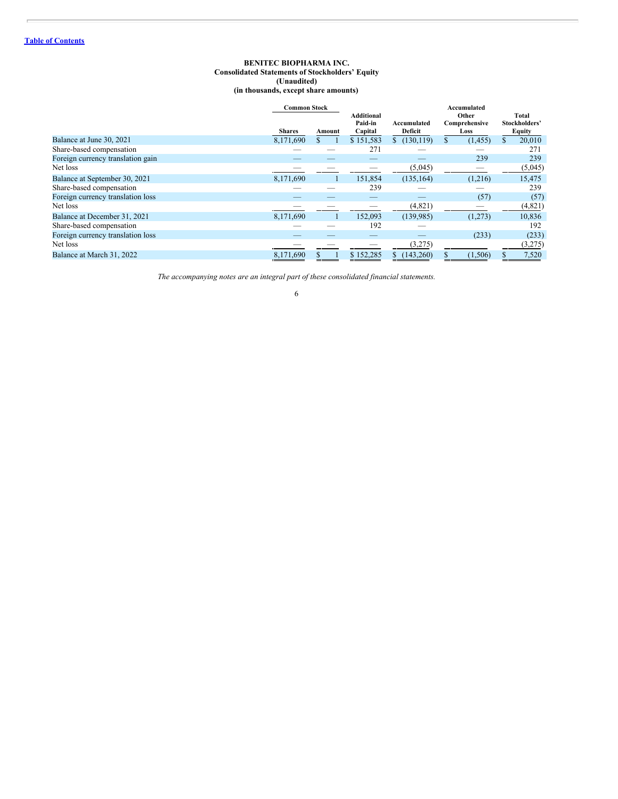#### **BENITEC BIOPHARMA INC. Consolidated Statements of Stockholders' Equity (Unaudited) (in thousands, except share amounts)**

|                                   | <b>Common Stock</b> |        |                                         |                        | Accumulated                    |                                  |
|-----------------------------------|---------------------|--------|-----------------------------------------|------------------------|--------------------------------|----------------------------------|
|                                   | <b>Shares</b>       | Amount | <b>Additional</b><br>Paid-in<br>Capital | Accumulated<br>Deficit | Other<br>Comprehensive<br>Loss | Total<br>Stockholders'<br>Equity |
| Balance at June 30, 2021          | 8,171,690           |        | \$151,583                               | \$(130, 119)           | (1, 455)<br>\$.                | 20,010<br>S                      |
| Share-based compensation          |                     |        | 271                                     |                        |                                | 271                              |
| Foreign currency translation gain |                     |        |                                         |                        | 239                            | 239                              |
| Net loss                          |                     |        |                                         | (5,045)                |                                | (5,045)                          |
| Balance at September 30, 2021     | 8,171,690           |        | 151.854                                 | (135, 164)             | (1,216)                        | 15,475                           |
| Share-based compensation          |                     |        | 239                                     |                        |                                | 239                              |
| Foreign currency translation loss |                     |        |                                         |                        | (57)                           | (57)                             |
| Net loss                          |                     |        |                                         | (4,821)                |                                | (4,821)                          |
| Balance at December 31, 2021      | 8,171,690           |        | 152,093                                 | (139, 985)             | (1,273)                        | 10,836                           |
| Share-based compensation          |                     |        | 192                                     |                        |                                | 192                              |
| Foreign currency translation loss |                     |        |                                         |                        | (233)                          | (233)                            |
| Net loss                          |                     |        |                                         | (3,275)                |                                | (3,275)                          |
| Balance at March 31, 2022         | 8,171,690           |        | \$152,285                               | (143, 260)             | (1,506)                        | 7,520                            |

*The accompanying notes are an integral part of these consolidated financial statements.*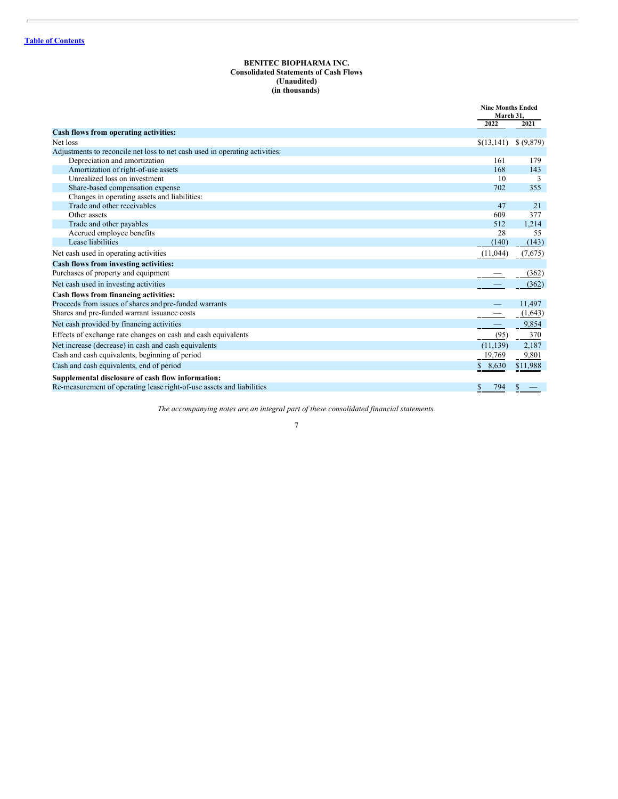# **BENITEC BIOPHARMA INC. Consolidated Statements of Cash Flows (Unaudited) (in thousands)**

<span id="page-7-0"></span>

|                                                                             | <b>Nine Months Ended</b><br>March 31, |            |
|-----------------------------------------------------------------------------|---------------------------------------|------------|
|                                                                             | 2022                                  | 2021       |
| Cash flows from operating activities:                                       |                                       |            |
| Net loss                                                                    | \$(13,141)                            | \$ (9,879) |
| Adjustments to reconcile net loss to net cash used in operating activities: |                                       |            |
| Depreciation and amortization                                               | 161                                   | 179        |
| Amortization of right-of-use assets                                         | 168                                   | 143        |
| Unrealized loss on investment                                               | 10                                    | 3          |
| Share-based compensation expense                                            | 702                                   | 355        |
| Changes in operating assets and liabilities:                                |                                       |            |
| Trade and other receivables                                                 | 47                                    | 21         |
| Other assets                                                                | 609                                   | 377        |
| Trade and other payables                                                    | 512                                   | 1,214      |
| Accrued employee benefits<br>Lease liabilities                              | 28                                    | 55         |
|                                                                             | (140)                                 | (143)      |
| Net cash used in operating activities                                       | (11,044)                              | (7,675)    |
| Cash flows from investing activities:                                       |                                       |            |
| Purchases of property and equipment                                         |                                       | (362)      |
| Net cash used in investing activities                                       |                                       | (362)      |
| Cash flows from financing activities:                                       |                                       |            |
| Proceeds from issues of shares and pre-funded warrants                      |                                       | 11,497     |
| Shares and pre-funded warrant issuance costs                                |                                       | (1,643)    |
| Net cash provided by financing activities                                   |                                       | 9,854      |
| Effects of exchange rate changes on cash and cash equivalents               | (95)                                  | 370        |
| Net increase (decrease) in cash and cash equivalents                        | (11, 139)                             | 2,187      |
| Cash and cash equivalents, beginning of period                              | 19,769                                | 9,801      |
| Cash and cash equivalents, end of period                                    | 8,630<br>\$                           | \$11,988   |
| Supplemental disclosure of cash flow information:                           |                                       |            |
| Re-measurement of operating lease right-of-use assets and liabilities       | $\overline{e}$<br>794                 |            |

*The accompanying notes are an integral part of these consolidated financial statements.*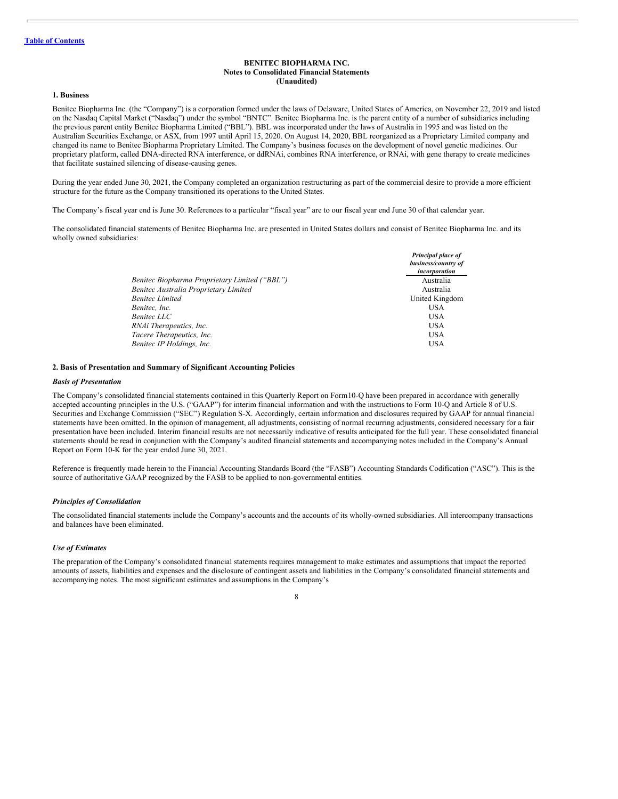#### **BENITEC BIOPHARMA INC. Notes to Consolidated Financial Statements (Unaudited)**

# <span id="page-8-0"></span>**1. Business**

Benitec Biopharma Inc. (the "Company") is a corporation formed under the laws of Delaware, United States of America, on November 22, 2019 and listed on the Nasdaq Capital Market ("Nasdaq") under the symbol "BNTC". Benitec Biopharma Inc. is the parent entity of a number of subsidiaries including the previous parent entity Benitec Biopharma Limited ("BBL"). BBL was incorporated under the laws of Australia in 1995 and was listed on the Australian Securities Exchange, or ASX, from 1997 until April 15, 2020. On August 14, 2020, BBL reorganized as a Proprietary Limited company and changed its name to Benitec Biopharma Proprietary Limited. The Company's business focuses on the development of novel genetic medicines. Our proprietary platform, called DNA-directed RNA interference, or ddRNAi, combines RNA interference, or RNAi, with gene therapy to create medicines that facilitate sustained silencing of disease-causing genes.

During the year ended June 30, 2021, the Company completed an organization restructuring as part of the commercial desire to provide a more efficient structure for the future as the Company transitioned its operations to the United States.

The Company's fiscal year end is June 30. References to a particular "fiscal year" are to our fiscal year end June 30 of that calendar year.

The consolidated financial statements of Benitec Biopharma Inc. are presented in United States dollars and consist of Benitec Biopharma Inc. and its wholly owned subsidiaries:

|                                               | Principal place of<br>business/country of<br>incorporation |
|-----------------------------------------------|------------------------------------------------------------|
| Benitec Biopharma Proprietary Limited ("BBL") | Australia                                                  |
| Benitec Australia Proprietary Limited         | Australia                                                  |
| Benitec Limited                               | United Kingdom                                             |
| Benitec, Inc.                                 | <b>USA</b>                                                 |
| Benitec LLC                                   | <b>USA</b>                                                 |
| RNAi Therapeutics, Inc.                       | <b>USA</b>                                                 |
| Tacere Therapeutics, Inc.                     | <b>USA</b>                                                 |
| Benitec IP Holdings, Inc.                     | <b>USA</b>                                                 |

# **2. Basis of Presentation and Summary of Significant Accounting Policies**

# *Basis of Presentation*

The Company's consolidated financial statements contained in this Quarterly Report on Form10-Q have been prepared in accordance with generally accepted accounting principles in the U.S. ("GAAP") for interim financial information and with the instructions to Form 10-Q and Article 8 of U.S. Securities and Exchange Commission ("SEC") Regulation S-X. Accordingly, certain information and disclosures required by GAAP for annual financial statements have been omitted. In the opinion of management, all adjustments, consisting of normal recurring adjustments, considered necessary for a fair presentation have been included. Interim financial results are not necessarily indicative of results anticipated for the full year. These consolidated financial statements should be read in conjunction with the Company's audited financial statements and accompanying notes included in the Company's Annual Report on Form 10-K for the year ended June 30, 2021.

Reference is frequently made herein to the Financial Accounting Standards Board (the "FASB") Accounting Standards Codification ("ASC"). This is the source of authoritative GAAP recognized by the FASB to be applied to non-governmental entities.

#### *Principles of Consolidation*

The consolidated financial statements include the Company's accounts and the accounts of its wholly-owned subsidiaries. All intercompany transactions and balances have been eliminated.

# *Use of Estimates*

The preparation of the Company's consolidated financial statements requires management to make estimates and assumptions that impact the reported amounts of assets, liabilities and expenses and the disclosure of contingent assets and liabilities in the Company's consolidated financial statements and accompanying notes. The most significant estimates and assumptions in the Company's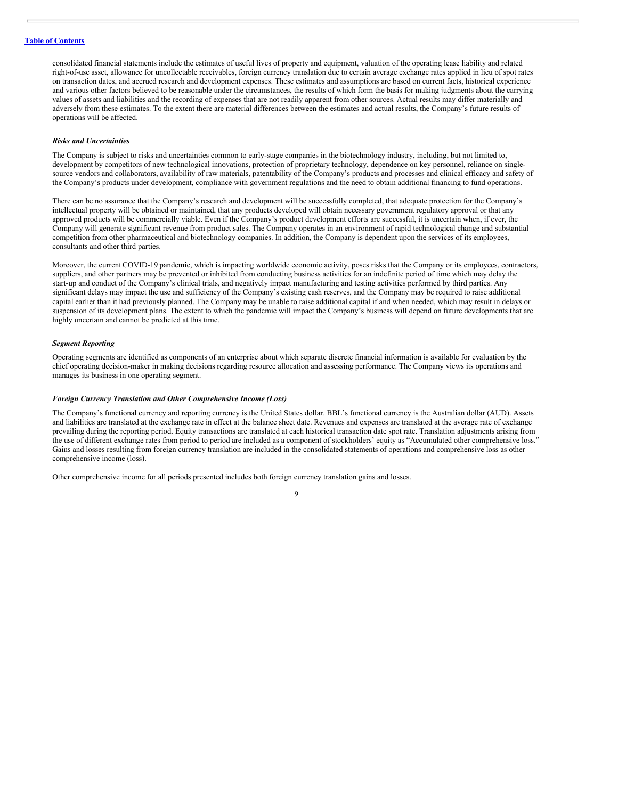#### **Table of [Contents](#page-1-0)**

consolidated financial statements include the estimates of useful lives of property and equipment, valuation of the operating lease liability and related right-of-use asset, allowance for uncollectable receivables, foreign currency translation due to certain average exchange rates applied in lieu of spot rates on transaction dates, and accrued research and development expenses. These estimates and assumptions are based on current facts, historical experience and various other factors believed to be reasonable under the circumstances, the results of which form the basis for making judgments about the carrying values of assets and liabilities and the recording of expenses that are not readily apparent from other sources. Actual results may differ materially and adversely from these estimates. To the extent there are material differences between the estimates and actual results, the Company's future results of operations will be affected.

#### *Risks and Uncertainties*

The Company is subject to risks and uncertainties common to early-stage companies in the biotechnology industry, including, but not limited to, development by competitors of new technological innovations, protection of proprietary technology, dependence on key personnel, reliance on singlesource vendors and collaborators, availability of raw materials, patentability of the Company's products and processes and clinical efficacy and safety of the Company's products under development, compliance with government regulations and the need to obtain additional financing to fund operations.

There can be no assurance that the Company's research and development will be successfully completed, that adequate protection for the Company's intellectual property will be obtained or maintained, that any products developed will obtain necessary government regulatory approval or that any approved products will be commercially viable. Even if the Company's product development efforts are successful, it is uncertain when, if ever, the Company will generate significant revenue from product sales. The Company operates in an environment of rapid technological change and substantial competition from other pharmaceutical and biotechnology companies. In addition, the Company is dependent upon the services of its employees, consultants and other third parties.

Moreover, the current COVID-19 pandemic, which is impacting worldwide economic activity, poses risks that the Company or its employees, contractors, suppliers, and other partners may be prevented or inhibited from conducting business activities for an indefinite period of time which may delay the start-up and conduct of the Company's clinical trials, and negatively impact manufacturing and testing activities performed by third parties. Any significant delays may impact the use and sufficiency of the Company's existing cash reserves, and the Company may be required to raise additional capital earlier than it had previously planned. The Company may be unable to raise additional capital if and when needed, which may result in delays or suspension of its development plans. The extent to which the pandemic will impact the Company's business will depend on future developments that are highly uncertain and cannot be predicted at this time.

# *Segment Reporting*

Operating segments are identified as components of an enterprise about which separate discrete financial information is available for evaluation by the chief operating decision-maker in making decisions regarding resource allocation and assessing performance. The Company views its operations and manages its business in one operating segment.

# *Foreign Currency Translation and Other Comprehensive Income (Loss)*

The Company's functional currency and reporting currency is the United States dollar. BBL's functional currency is the Australian dollar (AUD). Assets and liabilities are translated at the exchange rate in effect at the balance sheet date. Revenues and expenses are translated at the average rate of exchange prevailing during the reporting period. Equity transactions are translated at each historical transaction date spot rate. Translation adjustments arising from the use of different exchange rates from period to period are included as a component of stockholders' equity as "Accumulated other comprehensive loss." Gains and losses resulting from foreign currency translation are included in the consolidated statements of operations and comprehensive loss as other comprehensive income (loss).

Other comprehensive income for all periods presented includes both foreign currency translation gains and losses.

 $\alpha$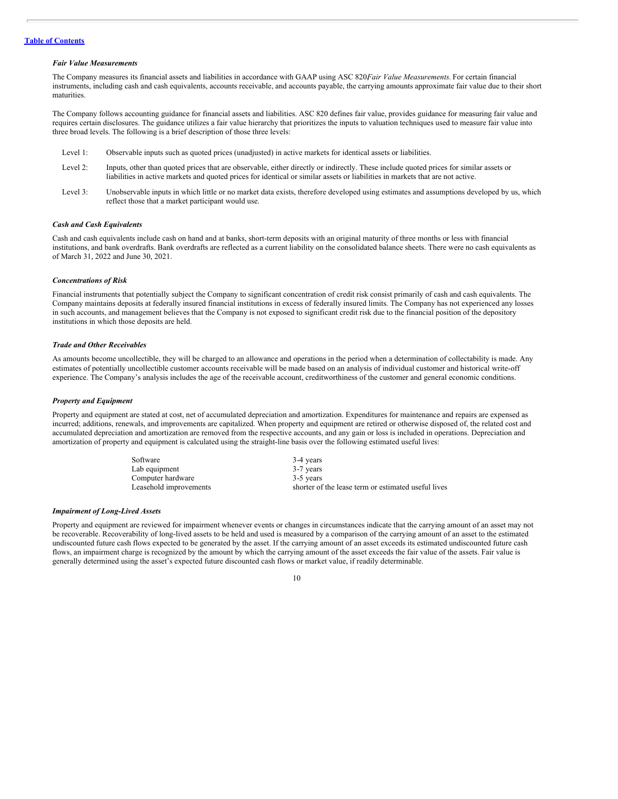#### *Fair Value Measurements*

The Company measures its financial assets and liabilities in accordance with GAAP using ASC 820,*Fair Value Measurements.* For certain financial instruments, including cash and cash equivalents, accounts receivable, and accounts payable, the carrying amounts approximate fair value due to their short maturities.

The Company follows accounting guidance for financial assets and liabilities. ASC 820 defines fair value, provides guidance for measuring fair value and requires certain disclosures. The guidance utilizes a fair value hierarchy that prioritizes the inputs to valuation techniques used to measure fair value into three broad levels. The following is a brief description of those three levels:

- Level 1: Observable inputs such as quoted prices (unadjusted) in active markets for identical assets or liabilities.
- Level 2: Inputs, other than quoted prices that are observable, either directly or indirectly. These include quoted prices for similar assets or liabilities in active markets and quoted prices for identical or similar assets or liabilities in markets that are not active.
- Level 3: Unobservable inputs in which little or no market data exists, therefore developed using estimates and assumptions developed by us, which reflect those that a market participant would use.

#### *Cash and Cash Equivalents*

Cash and cash equivalents include cash on hand and at banks, short-term deposits with an original maturity of three months or less with financial institutions, and bank overdrafts. Bank overdrafts are reflected as a current liability on the consolidated balance sheets. There were no cash equivalents as of March 31, 2022 and June 30, 2021.

#### *Concentrations of Risk*

Financial instruments that potentially subject the Company to significant concentration of credit risk consist primarily of cash and cash equivalents. The Company maintains deposits at federally insured financial institutions in excess of federally insured limits. The Company has not experienced any losses in such accounts, and management believes that the Company is not exposed to significant credit risk due to the financial position of the depository institutions in which those deposits are held.

#### *Trade and Other Receivables*

As amounts become uncollectible, they will be charged to an allowance and operations in the period when a determination of collectability is made. Any estimates of potentially uncollectible customer accounts receivable will be made based on an analysis of individual customer and historical write-off experience. The Company's analysis includes the age of the receivable account, creditworthiness of the customer and general economic conditions.

#### *Property and Equipment*

Property and equipment are stated at cost, net of accumulated depreciation and amortization. Expenditures for maintenance and repairs are expensed as incurred; additions, renewals, and improvements are capitalized. When property and equipment are retired or otherwise disposed of, the related cost and accumulated depreciation and amortization are removed from the respective accounts, and any gain or loss is included in operations. Depreciation and amortization of property and equipment is calculated using the straight-line basis over the following estimated useful lives:

| Software               | 3-4 years                                           |
|------------------------|-----------------------------------------------------|
| Lab equipment          | 3-7 years                                           |
| Computer hardware      | 3-5 years                                           |
| Leasehold improvements | shorter of the lease term or estimated useful lives |

#### *Impairment of Long-Lived Assets*

Property and equipment are reviewed for impairment whenever events or changes in circumstances indicate that the carrying amount of an asset may not be recoverable. Recoverability of long-lived assets to be held and used is measured by a comparison of the carrying amount of an asset to the estimated undiscounted future cash flows expected to be generated by the asset. If the carrying amount of an asset exceeds its estimated undiscounted future cash flows, an impairment charge is recognized by the amount by which the carrying amount of the asset exceeds the fair value of the assets. Fair value is generally determined using the asset's expected future discounted cash flows or market value, if readily determinable.

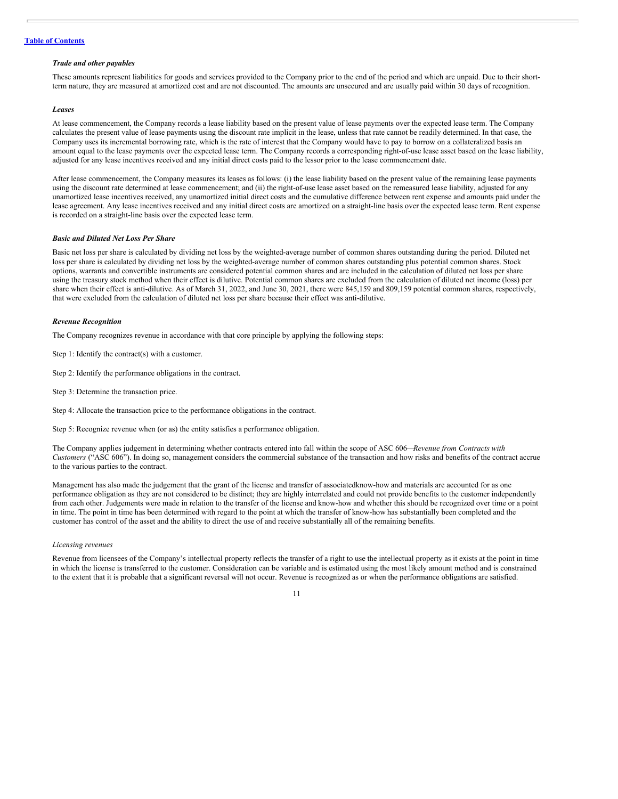#### *Trade and other payables*

These amounts represent liabilities for goods and services provided to the Company prior to the end of the period and which are unpaid. Due to their shortterm nature, they are measured at amortized cost and are not discounted. The amounts are unsecured and are usually paid within 30 days of recognition.

# *Leases*

At lease commencement, the Company records a lease liability based on the present value of lease payments over the expected lease term. The Company calculates the present value of lease payments using the discount rate implicit in the lease, unless that rate cannot be readily determined. In that case, the Company uses its incremental borrowing rate, which is the rate of interest that the Company would have to pay to borrow on a collateralized basis an amount equal to the lease payments over the expected lease term. The Company records a corresponding right-of-use lease asset based on the lease liability, adjusted for any lease incentives received and any initial direct costs paid to the lessor prior to the lease commencement date.

After lease commencement, the Company measures its leases as follows: (i) the lease liability based on the present value of the remaining lease payments using the discount rate determined at lease commencement; and (ii) the right-of-use lease asset based on the remeasured lease liability, adjusted for any unamortized lease incentives received, any unamortized initial direct costs and the cumulative difference between rent expense and amounts paid under the lease agreement. Any lease incentives received and any initial direct costs are amortized on a straight-line basis over the expected lease term. Rent expense is recorded on a straight-line basis over the expected lease term.

#### *Basic and Diluted Net Loss Per Share*

Basic net loss per share is calculated by dividing net loss by the weighted-average number of common shares outstanding during the period. Diluted net loss per share is calculated by dividing net loss by the weighted-average number of common shares outstanding plus potential common shares. Stock options, warrants and convertible instruments are considered potential common shares and are included in the calculation of diluted net loss per share using the treasury stock method when their effect is dilutive. Potential common shares are excluded from the calculation of diluted net income (loss) per share when their effect is anti-dilutive. As of March 31, 2022, and June 30, 2021, there were 845,159 and 809,159 potential common shares, respectively, that were excluded from the calculation of diluted net loss per share because their effect was anti-dilutive.

#### *Revenue Recognition*

The Company recognizes revenue in accordance with that core principle by applying the following steps:

- Step 1: Identify the contract(s) with a customer.
- Step 2: Identify the performance obligations in the contract.
- Step 3: Determine the transaction price.
- Step 4: Allocate the transaction price to the performance obligations in the contract.
- Step 5: Recognize revenue when (or as) the entity satisfies a performance obligation.

The Company applies judgement in determining whether contracts entered into fall within the scope of ASC 606—*Revenue from Contracts with Customers* ("ASC 606"). In doing so, management considers the commercial substance of the transaction and how risks and benefits of the contract accrue to the various parties to the contract.

Management has also made the judgement that the grant of the license and transfer of associatedknow-how and materials are accounted for as one performance obligation as they are not considered to be distinct; they are highly interrelated and could not provide benefits to the customer independently from each other. Judgements were made in relation to the transfer of the license and know-how and whether this should be recognized over time or a point in time. The point in time has been determined with regard to the point at which the transfer of know-how has substantially been completed and the customer has control of the asset and the ability to direct the use of and receive substantially all of the remaining benefits.

#### *Licensing revenues*

Revenue from licensees of the Company's intellectual property reflects the transfer of a right to use the intellectual property as it exists at the point in time in which the license is transferred to the customer. Consideration can be variable and is estimated using the most likely amount method and is constrained to the extent that it is probable that a significant reversal will not occur. Revenue is recognized as or when the performance obligations are satisfied.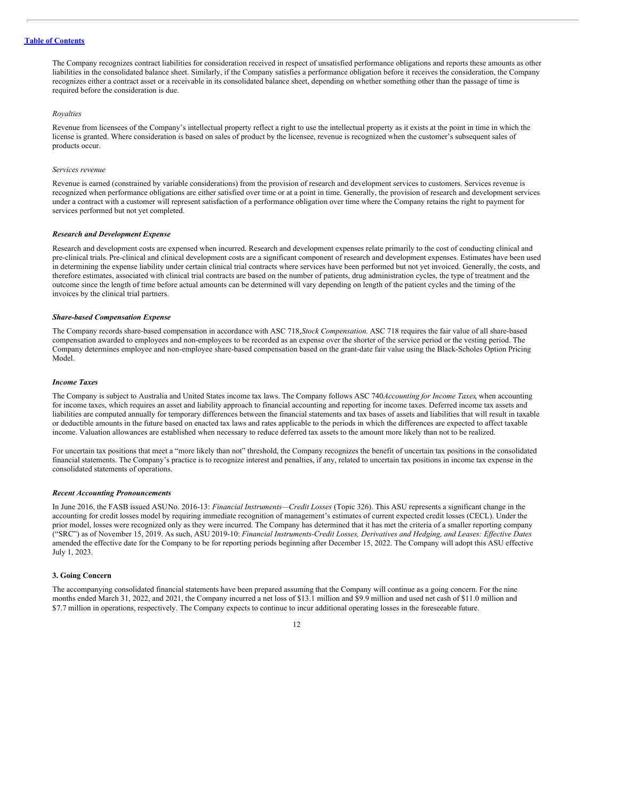#### **Table of [Contents](#page-1-0)**

The Company recognizes contract liabilities for consideration received in respect of unsatisfied performance obligations and reports these amounts as other liabilities in the consolidated balance sheet. Similarly, if the Company satisfies a performance obligation before it receives the consideration, the Company recognizes either a contract asset or a receivable in its consolidated balance sheet, depending on whether something other than the passage of time is required before the consideration is due.

#### *Royalties*

Revenue from licensees of the Company's intellectual property reflect a right to use the intellectual property as it exists at the point in time in which the license is granted. Where consideration is based on sales of product by the licensee, revenue is recognized when the customer's subsequent sales of products occur.

#### *Services revenue*

Revenue is earned (constrained by variable considerations) from the provision of research and development services to customers. Services revenue is recognized when performance obligations are either satisfied over time or at a point in time. Generally, the provision of research and development services under a contract with a customer will represent satisfaction of a performance obligation over time where the Company retains the right to payment for services performed but not yet completed.

#### *Research and Development Expense*

Research and development costs are expensed when incurred. Research and development expenses relate primarily to the cost of conducting clinical and pre-clinical trials. Pre-clinical and clinical development costs are a significant component of research and development expenses. Estimates have been used in determining the expense liability under certain clinical trial contracts where services have been performed but not yet invoiced. Generally, the costs, and therefore estimates, associated with clinical trial contracts are based on the number of patients, drug administration cycles, the type of treatment and the outcome since the length of time before actual amounts can be determined will vary depending on length of the patient cycles and the timing of the invoices by the clinical trial partners.

# *Share-based Compensation Expense*

The Company records share-based compensation in accordance with ASC 718,*Stock Compensation*. ASC 718 requires the fair value of all share-based compensation awarded to employees and non-employees to be recorded as an expense over the shorter of the service period or the vesting period. The Company determines employee and non-employee share-based compensation based on the grant-date fair value using the Black-Scholes Option Pricing Model.

#### *Income Taxes*

The Company is subject to Australia and United States income tax laws. The Company follows ASC 740*Accounting for Income Taxes*, when accounting for income taxes, which requires an asset and liability approach to financial accounting and reporting for income taxes. Deferred income tax assets and liabilities are computed annually for temporary differences between the financial statements and tax bases of assets and liabilities that will result in taxable or deductible amounts in the future based on enacted tax laws and rates applicable to the periods in which the differences are expected to affect taxable income. Valuation allowances are established when necessary to reduce deferred tax assets to the amount more likely than not to be realized.

For uncertain tax positions that meet a "more likely than not" threshold, the Company recognizes the benefit of uncertain tax positions in the consolidated financial statements. The Company's practice is to recognize interest and penalties, if any, related to uncertain tax positions in income tax expense in the consolidated statements of operations.

#### *Recent Accounting Pronouncements*

In June 2016, the FASB issued ASUNo. 2016-13: *Financial Instruments—Credit Losses* (Topic 326). This ASU represents a significant change in the accounting for credit losses model by requiring immediate recognition of management's estimates of current expected credit losses (CECL). Under the prior model, losses were recognized only as they were incurred. The Company has determined that it has met the criteria of a smaller reporting company ("SRC") as of November 15, 2019. As such, ASU 2019-10: *Financial Instruments-Credit Losses, Derivatives and Hedging, and Leases: Ef ective Dates* amended the effective date for the Company to be for reporting periods beginning after December 15, 2022. The Company will adopt this ASU effective July 1, 2023.

# **3. Going Concern**

The accompanying consolidated financial statements have been prepared assuming that the Company will continue as a going concern. For the nine months ended March 31, 2022, and 2021, the Company incurred a net loss of \$13.1 million and \$9.9 million and used net cash of \$11.0 million and \$7.7 million in operations, respectively. The Company expects to continue to incur additional operating losses in the foreseeable future.

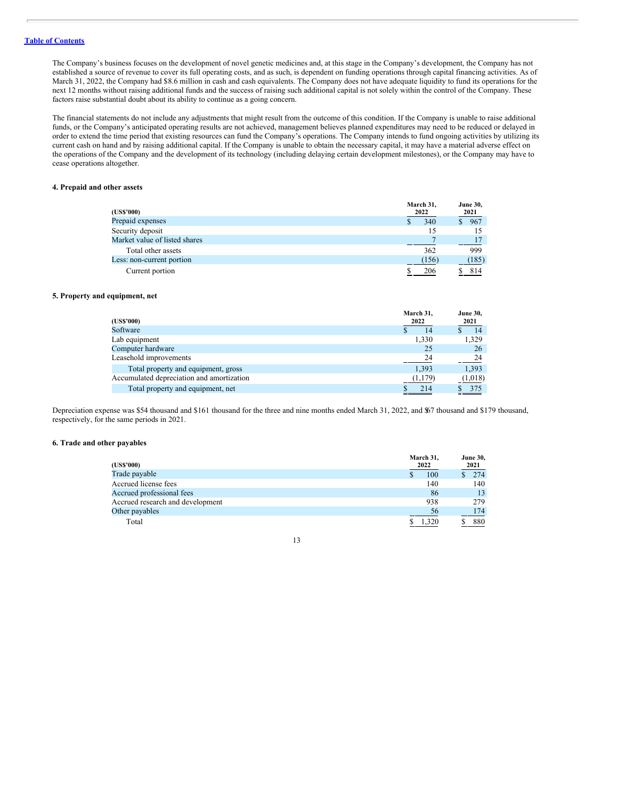The Company's business focuses on the development of novel genetic medicines and, at this stage in the Company's development, the Company has not established a source of revenue to cover its full operating costs, and as such, is dependent on funding operations through capital financing activities*.* As of March 31, 2022, the Company had \$8.6 million in cash and cash equivalents. The Company does not have adequate liquidity to fund its operations for the next 12 months without raising additional funds and the success of raising such additional capital is not solely within the control of the Company. These factors raise substantial doubt about its ability to continue as a going concern.

The financial statements do not include any adjustments that might result from the outcome of this condition. If the Company is unable to raise additional funds, or the Company's anticipated operating results are not achieved, management believes planned expenditures may need to be reduced or delayed in order to extend the time period that existing resources can fund the Company's operations. The Company intends to fund ongoing activities by utilizing its current cash on hand and by raising additional capital. If the Company is unable to obtain the necessary capital, it may have a material adverse effect on the operations of the Company and the development of its technology (including delaying certain development milestones), or the Company may have to cease operations altogether*.*

# **4. Prepaid and other assets**

| (USS'000)                     | March 31,<br>2022 | <b>June 30,</b><br>2021 |
|-------------------------------|-------------------|-------------------------|
| Prepaid expenses              | 340<br>S          | 967                     |
| Security deposit              | 15                |                         |
| Market value of listed shares |                   |                         |
| Total other assets            | 362               | 999                     |
| Less: non-current portion     | (156)             | (185)                   |
| Current portion               | 206               | 814                     |

# **5. Property and equipment, net**

| (USS'000)                                 | March 31.<br>2022 | <b>June 30,</b><br>2021 |
|-------------------------------------------|-------------------|-------------------------|
| Software                                  | 14<br>S.          | $\sqrt{14}$             |
| Lab equipment                             | 1,330             | 1,329                   |
| Computer hardware                         | 25                | 26                      |
| Leasehold improvements                    | 24                | 24                      |
| Total property and equipment, gross       | 1.393             | 1,393                   |
| Accumulated depreciation and amortization | (1,179)           | (1,018)                 |
| Total property and equipment, net         | 214               | 375                     |

Depreciation expense was \$54 thousand and \$161 thousand for the three and nine months ended March 31, 2022, and \$67 thousand and \$179 thousand, respectively, for the same periods in 2021.

# **6. Trade and other payables**

| (USS'000)                        | March 31,<br>2022 | <b>June 30,</b><br><u>2021</u> |  |  |
|----------------------------------|-------------------|--------------------------------|--|--|
| Trade payable                    | 100<br>S          | $\overline{$}$ 274             |  |  |
| Accrued license fees             | 140               | 140                            |  |  |
| Accrued professional fees        | 86                | 13                             |  |  |
| Accrued research and development | 938               | 279                            |  |  |
| Other payables                   | 56                | 174                            |  |  |
| Total                            | 1.320             | 880                            |  |  |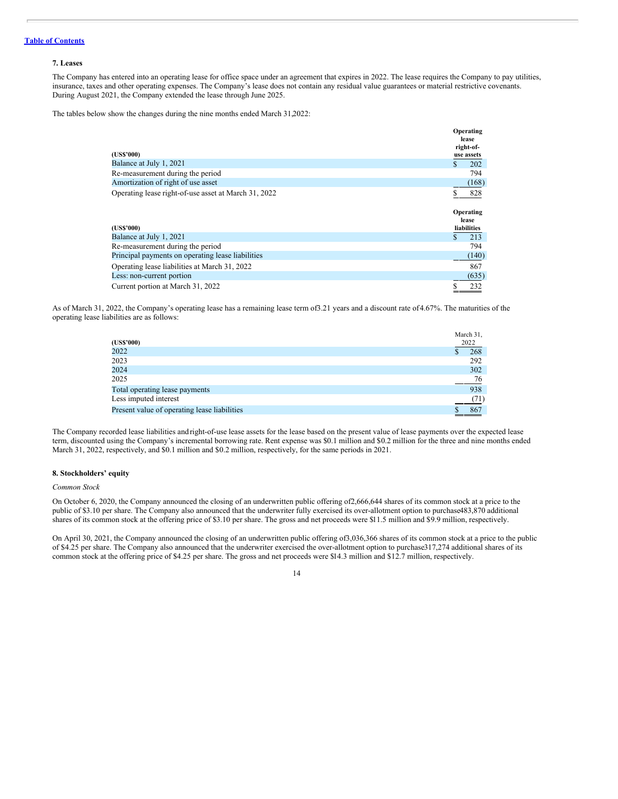#### **7. Leases**

The Company has entered into an operating lease for office space under an agreement that expires in 2022. The lease requires the Company to pay utilities, insurance, taxes and other operating expenses. The Company's lease does not contain any residual value guarantees or material restrictive covenants. During August 2021, the Company extended the lease through June 2025.

The tables below show the changes during the nine months ended March 31,2022:

| (US\$'000)                                           | Operating<br>lease<br>right-of-<br>use assets |
|------------------------------------------------------|-----------------------------------------------|
| Balance at July 1, 2021                              | \$<br>202                                     |
| Re-measurement during the period                     | 794                                           |
| Amortization of right of use asset                   | (168)                                         |
| Operating lease right-of-use asset at March 31, 2022 | \$<br>828                                     |
| (USS'000)                                            | Operating<br>lease<br>liabilities             |
| Balance at July 1, 2021                              | 213<br>\$                                     |
| Re-measurement during the period                     | 794                                           |
| Principal payments on operating lease liabilities    | (140)                                         |
| Operating lease liabilities at March 31, 2022        | 867                                           |
| Less: non-current portion                            | (635)                                         |
| Current portion at March 31, 2022                    | 232<br>S                                      |

As of March 31, 2022, the Company's operating lease has a remaining lease term of3.21 years and a discount rate of4.67%. The maturities of the operating lease liabilities are as follows:

|                                              | March 31, |
|----------------------------------------------|-----------|
| (USS'000)                                    | 2022      |
| 2022                                         | 268       |
| 2023                                         | 292       |
| 2024                                         | 302       |
| 2025                                         | 76        |
| Total operating lease payments               | 938       |
| Less imputed interest                        | (71)      |
| Present value of operating lease liabilities | 867       |

The Company recorded lease liabilities andright-of-use lease assets for the lease based on the present value of lease payments over the expected lease term, discounted using the Company's incremental borrowing rate. Rent expense was \$0.1 million and \$0.2 million for the three and nine months ended March 31, 2022, respectively, and \$0.1 million and \$0.2 million, respectively, for the same periods in 2021.

#### **8. Stockholders' equity**

#### *Common Stock*

On October 6, 2020, the Company announced the closing of an underwritten public offering of2,666,644 shares of its common stock at a price to the public of \$3.10 per share. The Company also announced that the underwriter fully exercised its over-allotment option to purchase483,870 additional shares of its common stock at the offering price of \$3.10 per share. The gross and net proceeds were \$11.5 million and \$9.9 million, respectively.

On April 30, 2021, the Company announced the closing of an underwritten public offering of3,036,366 shares of its common stock at a price to the public of \$4.25 per share. The Company also announced that the underwriter exercised the over-allotment option to purchase317,274 additional shares of its common stock at the offering price of \$4.25 per share. The gross and net proceeds were \$14.3 million and \$12.7 million, respectively.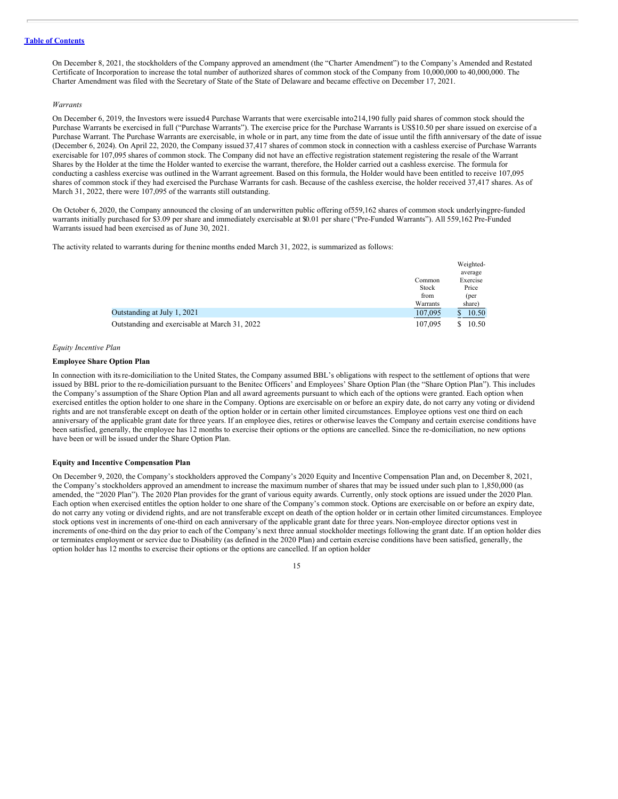On December 8, 2021, the stockholders of the Company approved an amendment (the "Charter Amendment") to the Company's Amended and Restated Certificate of Incorporation to increase the total number of authorized shares of common stock of the Company from 10,000,000 to 40,000,000. The Charter Amendment was filed with the Secretary of State of the State of Delaware and became effective on December 17, 2021.

#### *Warrants*

On December 6, 2019, the Investors were issued4 Purchase Warrants that were exercisable into214,190 fully paid shares of common stock should the Purchase Warrants be exercised in full ("Purchase Warrants"). The exercise price for the Purchase Warrants is US\$10.50 per share issued on exercise of a Purchase Warrant. The Purchase Warrants are exercisable, in whole or in part, any time from the date of issue until the fifth anniversary of the date of issue (December 6, 2024). On April 22, 2020, the Company issued 37,417 shares of common stock in connection with a cashless exercise of Purchase Warrants exercisable for 107,095 shares of common stock. The Company did not have an effective registration statement registering the resale of the Warrant Shares by the Holder at the time the Holder wanted to exercise the warrant, therefore, the Holder carried out a cashless exercise. The formula for conducting a cashless exercise was outlined in the Warrant agreement. Based on this formula, the Holder would have been entitled to receive 107,095 shares of common stock if they had exercised the Purchase Warrants for cash. Because of the cashless exercise, the holder received 37,417 shares. As of March 31, 2022, there were 107,095 of the warrants still outstanding.

On October 6, 2020, the Company announced the closing of an underwritten public offering of559,162 shares of common stock underlyingpre-funded warrants initially purchased for \$3.09 per share and immediately exercisable at \$0.01 per share ("Pre-Funded Warrants"). All 559,162 Pre-Funded Warrants issued had been exercised as of June 30, 2021.

The activity related to warrants during for thenine months ended March 31, 2022, is summarized as follows:

|                                               |          | Weighted- |
|-----------------------------------------------|----------|-----------|
|                                               |          | average   |
|                                               | Common   | Exercise  |
|                                               | Stock    | Price     |
|                                               | from     | (per      |
|                                               | Warrants | share)    |
| Outstanding at July 1, 2021                   | 107.095  | 10.50     |
| Outstanding and exercisable at March 31, 2022 | 107.095  | 10.50     |

#### *Equity Incentive Plan*

#### **Employee Share Option Plan**

In connection with itsre-domiciliation to the United States, the Company assumed BBL's obligations with respect to the settlement of options that were issued by BBL prior to the re-domiciliation pursuant to the Benitec Officers' and Employees' Share Option Plan (the "Share Option Plan"). This includes the Company's assumption of the Share Option Plan and all award agreements pursuant to which each of the options were granted. Each option when exercised entitles the option holder to one share in the Company. Options are exercisable on or before an expiry date, do not carry any voting or dividend rights and are not transferable except on death of the option holder or in certain other limited circumstances. Employee options vest one third on each anniversary of the applicable grant date for three years. If an employee dies, retires or otherwise leaves the Company and certain exercise conditions have been satisfied, generally, the employee has 12 months to exercise their options or the options are cancelled. Since the re-domiciliation, no new options have been or will be issued under the Share Option Plan.

#### **Equity and Incentive Compensation Plan**

On December 9, 2020, the Company's stockholders approved the Company's 2020 Equity and Incentive Compensation Plan and, on December 8, 2021, the Company's stockholders approved an amendment to increase the maximum number of shares that may be issued under such plan to 1,850,000 (as amended, the "2020 Plan"). The 2020 Plan provides for the grant of various equity awards. Currently, only stock options are issued under the 2020 Plan. Each option when exercised entitles the option holder to one share of the Company's common stock. Options are exercisable on or before an expiry date, do not carry any voting or dividend rights, and are not transferable except on death of the option holder or in certain other limited circumstances. Employee stock options vest in increments of one-third on each anniversary of the applicable grant date for three years.Non-employee director options vest in increments of one-third on the day prior to each of the Company's next three annual stockholder meetings following the grant date. If an option holder dies or terminates employment or service due to Disability (as defined in the 2020 Plan) and certain exercise conditions have been satisfied, generally, the option holder has 12 months to exercise their options or the options are cancelled. If an option holder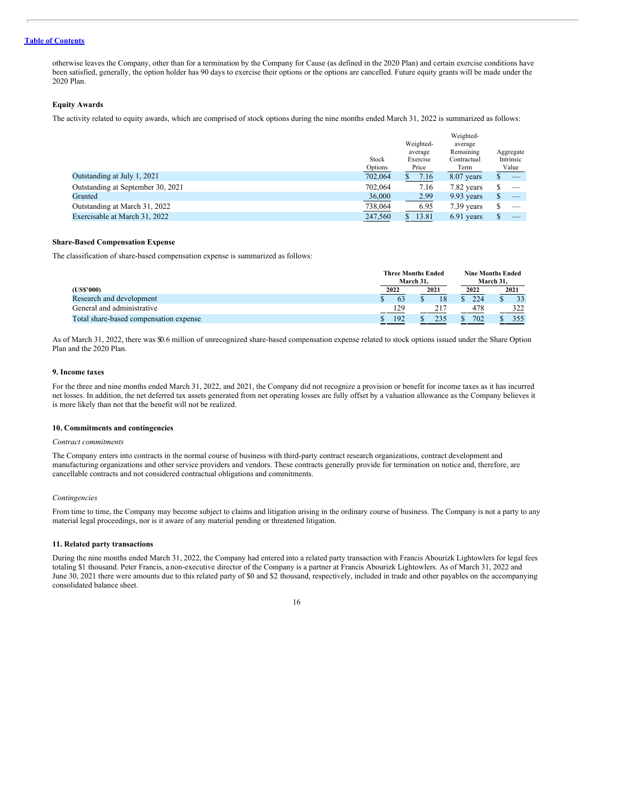# **Table of [Contents](#page-1-0)**

otherwise leaves the Company, other than for a termination by the Company for Cause (as defined in the 2020 Plan) and certain exercise conditions have been satisfied, generally, the option holder has 90 days to exercise their options or the options are cancelled. Future equity grants will be made under the 2020 Plan.

# **Equity Awards**

The activity related to equity awards, which are comprised of stock options during the nine months ended March 31, 2022 is summarized as follows:

|                                   |         |            | Weighted-    |           |
|-----------------------------------|---------|------------|--------------|-----------|
|                                   |         | Weighted-  | average      |           |
|                                   |         | average    | Remaining    | Aggregate |
|                                   | Stock   | Exercise   | Contractual  | Intrinsic |
|                                   | Options | Price      | Term         | Value     |
| Outstanding at July 1, 2021       | 702.064 | 7.16       | 8.07 years   |           |
| Outstanding at September 30, 2021 | 702.064 | 7.16       | 7.82 years   |           |
| Granted                           | 36,000  | 2.99       | 9.93 years   | \$        |
| Outstanding at March 31, 2022     | 738,064 | 6.95       | 7.39 years   | S         |
| Exercisable at March 31, 2022     | 247,560 | 13.81<br>S | $6.91$ years |           |

# **Share-Based Compensation Expense**

The classification of share-based compensation expense is summarized as follows:

|                                        | <b>Three Months Ended</b> | March 31. |      | <b>Nine Months Ended</b> | March 31. |      |
|----------------------------------------|---------------------------|-----------|------|--------------------------|-----------|------|
| (US\$'000)                             | 2022                      |           | 2021 | 2022                     |           | 2021 |
| Research and development               | 63                        |           |      | 224                      |           | 33   |
| General and administrative             | 129                       |           | 217  | 478                      |           | 322  |
| Total share-based compensation expense | 192                       |           | 235  | 702                      |           | 355  |

As of March 31, 2022, there was \$0.6 million of unrecognized share-based compensation expense related to stock options issued under the Share Option Plan and the 2020 Plan.

# **9. Income taxes**

For the three and nine months ended March 31, 2022, and 2021, the Company did not recognize a provision or benefit for income taxes as it has incurred net losses. In addition, the net deferred tax assets generated from net operating losses are fully offset by a valuation allowance as the Company believes it is more likely than not that the benefit will not be realized.

#### **10. Commitments and contingencies**

# *Contract commitments*

The Company enters into contracts in the normal course of business with third-party contract research organizations, contract development and manufacturing organizations and other service providers and vendors. These contracts generally provide for termination on notice and, therefore, are cancellable contracts and not considered contractual obligations and commitments.

## *Contingencies*

From time to time, the Company may become subject to claims and litigation arising in the ordinary course of business. The Company is not a party to any material legal proceedings, nor is it aware of any material pending or threatened litigation.

#### **11. Related party transactions**

During the nine months ended March 31, 2022, the Company had entered into a related party transaction with Francis Abourizk Lightowlers for legal fees totaling \$1 thousand. Peter Francis, a non-executive director of the Company is a partner at Francis Abourizk Lightowlers. As of March 31, 2022 and June 30, 2021 there were amounts due to this related party of \$0 and \$2 thousand, respectively, included in trade and other payables on the accompanying consolidated balance sheet.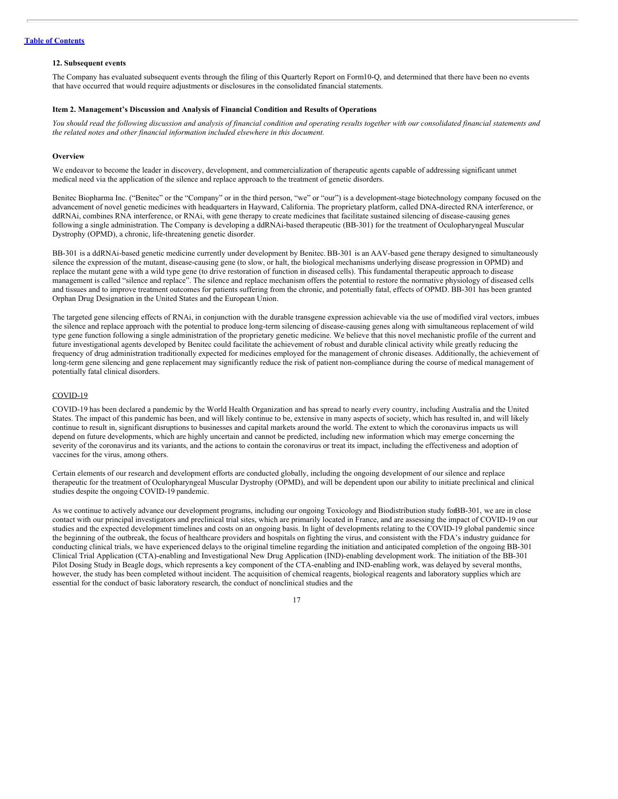#### **12. Subsequent events**

The Company has evaluated subsequent events through the filing of this Quarterly Report on Form10-Q, and determined that there have been no events that have occurred that would require adjustments or disclosures in the consolidated financial statements.

# <span id="page-17-0"></span>**Item 2. Management's Discussion and Analysis of Financial Condition and Results of Operations**

You should read the following discussion and analysis of financial condition and operating results together with our consolidated financial statements and *the related notes and other financial information included elsewhere in this document.*

#### **Overview**

We endeavor to become the leader in discovery, development, and commercialization of therapeutic agents capable of addressing significant unmet medical need via the application of the silence and replace approach to the treatment of genetic disorders.

Benitec Biopharma Inc. ("Benitec" or the "Company" or in the third person, "we" or "our") is a development-stage biotechnology company focused on the advancement of novel genetic medicines with headquarters in Hayward, California. The proprietary platform, called DNA-directed RNA interference, or ddRNAi, combines RNA interference, or RNAi, with gene therapy to create medicines that facilitate sustained silencing of disease-causing genes following a single administration. The Company is developing a ddRNAi-based therapeutic (BB-301) for the treatment of Oculopharyngeal Muscular Dystrophy (OPMD), a chronic, life-threatening genetic disorder.

BB-301 is a ddRNAi-based genetic medicine currently under development by Benitec. BB-301 is an AAV-based gene therapy designed to simultaneously silence the expression of the mutant, disease-causing gene (to slow, or halt, the biological mechanisms underlying disease progression in OPMD) and replace the mutant gene with a wild type gene (to drive restoration of function in diseased cells). This fundamental therapeutic approach to disease management is called "silence and replace". The silence and replace mechanism offers the potential to restore the normative physiology of diseased cells and tissues and to improve treatment outcomes for patients suffering from the chronic, and potentially fatal, effects of OPMD. BB-301 has been granted Orphan Drug Designation in the United States and the European Union.

The targeted gene silencing effects of RNAi, in conjunction with the durable transgene expression achievable via the use of modified viral vectors, imbues the silence and replace approach with the potential to produce long-term silencing of disease-causing genes along with simultaneous replacement of wild type gene function following a single administration of the proprietary genetic medicine. We believe that this novel mechanistic profile of the current and future investigational agents developed by Benitec could facilitate the achievement of robust and durable clinical activity while greatly reducing the frequency of drug administration traditionally expected for medicines employed for the management of chronic diseases. Additionally, the achievement of long-term gene silencing and gene replacement may significantly reduce the risk of patient non-compliance during the course of medical management of potentially fatal clinical disorders.

#### COVID-19

COVID-19 has been declared a pandemic by the World Health Organization and has spread to nearly every country, including Australia and the United States. The impact of this pandemic has been, and will likely continue to be, extensive in many aspects of society, which has resulted in, and will likely continue to result in, significant disruptions to businesses and capital markets around the world. The extent to which the coronavirus impacts us will depend on future developments, which are highly uncertain and cannot be predicted, including new information which may emerge concerning the severity of the coronavirus and its variants, and the actions to contain the coronavirus or treat its impact, including the effectiveness and adoption of vaccines for the virus, among others.

Certain elements of our research and development efforts are conducted globally, including the ongoing development of our silence and replace therapeutic for the treatment of Oculopharyngeal Muscular Dystrophy (OPMD), and will be dependent upon our ability to initiate preclinical and clinical studies despite the ongoing COVID-19 pandemic.

As we continue to actively advance our development programs, including our ongoing Toxicology and Biodistribution study forBB-301, we are in close contact with our principal investigators and preclinical trial sites, which are primarily located in France, and are assessing the impact of COVID-19 on our studies and the expected development timelines and costs on an ongoing basis. In light of developments relating to the COVID-19 global pandemic since the beginning of the outbreak, the focus of healthcare providers and hospitals on fighting the virus, and consistent with the FDA's industry guidance for conducting clinical trials, we have experienced delays to the original timeline regarding the initiation and anticipated completion of the ongoing BB-301 Clinical Trial Application (CTA)-enabling and Investigational New Drug Application (IND)-enabling development work. The initiation of the BB-301 Pilot Dosing Study in Beagle dogs, which represents a key component of the CTA-enabling and IND-enabling work, was delayed by several months, however, the study has been completed without incident. The acquisition of chemical reagents, biological reagents and laboratory supplies which are essential for the conduct of basic laboratory research, the conduct of nonclinical studies and the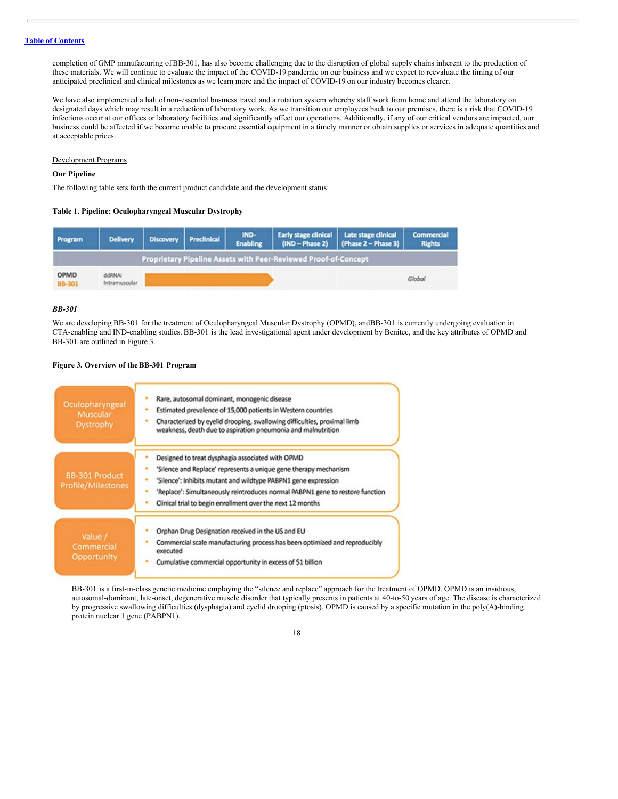completion of GMP manufacturing ofBB-301, has also become challenging due to the disruption of global supply chains inherent to the production of these materials. We will continue to evaluate the impact of the COVID-19 pandemic on our business and we expect to reevaluate the timing of our anticipated preclinical and clinical milestones as we learn more and the impact of COVID-19 on our industry becomes clearer.

We have also implemented a halt of non-essential business travel and a rotation system whereby staff work from home and attend the laboratory on designated days which may result in a reduction of laboratory work. As we transition our employees back to our premises, there is a risk that COVID-19 infections occur at our offices or laboratory facilities and significantly affect our operations. Additionally, if any of our critical vendors are impacted, our business could be affected if we become unable to procure essential equipment in a timely manner or obtain supplies or services in adequate quantities and at acceptable prices.

# Development Programs

# **Our Pipeline**

The following table sets forth the current product candidate and the development status:

# **Table 1. Pipeline: Oculopharyngeal Muscular Dystrophy**

| Program               | <b>Delivery</b>         | Discovery   Preclinical | IND-<br><b>Enabling</b> |                                                                 | Early stage clinical   Late stage clinical<br>(IND - Phase 2)   (Phase 2 - Phase 3) | <b>Commercial</b><br><b>Rights</b> |
|-----------------------|-------------------------|-------------------------|-------------------------|-----------------------------------------------------------------|-------------------------------------------------------------------------------------|------------------------------------|
|                       |                         |                         |                         | Proprietary Pipeline Assets with Peer-Reviewed Proof-of-Concept |                                                                                     |                                    |
| OPMD<br><b>BB-301</b> | ddRNAi<br>Intramuscular |                         |                         |                                                                 |                                                                                     | Global                             |

# *BB-301*

We are developing BB-301 for the treatment of Oculopharyngeal Muscular Dystrophy (OPMD), andBB-301 is currently undergoing evaluation in CTA-enabling and IND-enabling studies. BB-301 is the lead investigational agent under development by Benitec, and the key attributes of OPMD and BB-301 are outlined in Figure 3.

# **Figure 3. Overview of theBB-301 Program**

| Oculopharyngeal<br><b>Muscular</b><br><b>Dystrophy</b> | Rare, autosomal dominant, monogenic disease<br>Estimated prevalence of 15,000 patients in Western countries<br>٠<br>Characterized by eyelid drooping, swallowing difficulties, proximal limb<br>weakness, death due to aspiration pneumonia and malnutrition                                                                          |
|--------------------------------------------------------|---------------------------------------------------------------------------------------------------------------------------------------------------------------------------------------------------------------------------------------------------------------------------------------------------------------------------------------|
| <b>BB-301 Product</b><br><b>Profile/Milestones</b>     | Designed to treat dysphagia associated with OPMD<br>'Silence and Replace' represents a unique gene therapy mechanism<br>'Silence': Inhibits mutant and wildtype PABPN1 gene expression<br>'Replace': Simultaneously reintroduces normal PABPN1 gene to restore function<br>Clinical trial to begin enrollment over the next 12 months |
| Value /<br>Commercial<br>Opportunity                   | Orphan Drug Designation received in the US and EU<br>Commercial scale manufacturing process has been optimized and reproducibly<br>executed<br>Cumulative commercial opportunity in excess of \$1 billion                                                                                                                             |

BB-301 is a first-in-class genetic medicine employing the "silence and replace" approach for the treatment of OPMD. OPMD is an insidious, autosomal-dominant, late-onset, degenerative muscle disorder that typically presents in patients at 40-to-50 years of age. The disease is characterized by progressive swallowing difficulties (dysphagia) and eyelid drooping (ptosis). OPMD is caused by a specific mutation in the poly(A)-binding protein nuclear 1 gene (PABPN1).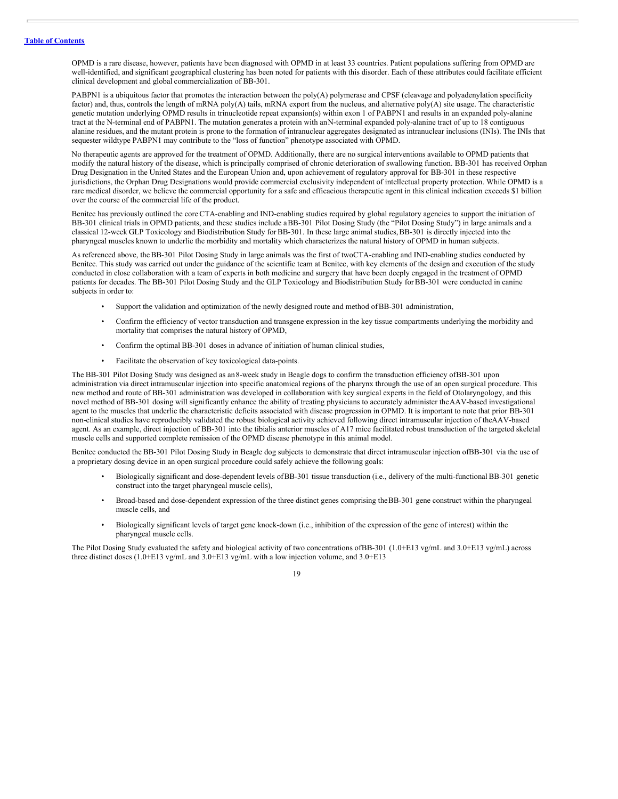OPMD is a rare disease, however, patients have been diagnosed with OPMD in at least 33 countries. Patient populations suffering from OPMD are well-identified, and significant geographical clustering has been noted for patients with this disorder. Each of these attributes could facilitate efficient clinical development and global commercialization of BB-301.

PABPN1 is a ubiquitous factor that promotes the interaction between the poly(A) polymerase and CPSF (cleavage and polyadenylation specificity factor) and, thus, controls the length of mRNA poly(A) tails, mRNA export from the nucleus, and alternative poly(A) site usage. The characteristic genetic mutation underlying OPMD results in trinucleotide repeat expansion(s) within exon 1 of PABPN1 and results in an expanded poly-alanine tract at the N-terminal end of PABPN1. The mutation generates a protein with anN-terminal expanded poly-alanine tract of up to 18 contiguous alanine residues, and the mutant protein is prone to the formation of intranuclear aggregates designated as intranuclear inclusions (INIs). The INIs that sequester wildtype PABPN1 may contribute to the "loss of function" phenotype associated with OPMD.

No therapeutic agents are approved for the treatment of OPMD. Additionally, there are no surgical interventions available to OPMD patients that modify the natural history of the disease, which is principally comprised of chronic deterioration of swallowing function. BB-301 has received Orphan Drug Designation in the United States and the European Union and, upon achievement of regulatory approval for BB-301 in these respective jurisdictions, the Orphan Drug Designations would provide commercial exclusivity independent of intellectual property protection. While OPMD is a rare medical disorder, we believe the commercial opportunity for a safe and efficacious therapeutic agent in this clinical indication exceeds \$1 billion over the course of the commercial life of the product.

Benitec has previously outlined the core CTA-enabling and IND-enabling studies required by global regulatory agencies to support the initiation of BB-301 clinical trials in OPMD patients, and these studies include aBB-301 Pilot Dosing Study (the "Pilot Dosing Study") in large animals and a classical 12-week GLP Toxicology and Biodistribution Study forBB-301. In these large animal studies,BB-301 is directly injected into the pharyngeal muscles known to underlie the morbidity and mortality which characterizes the natural history of OPMD in human subjects.

As referenced above, theBB-301 Pilot Dosing Study in large animals was the first of twoCTA-enabling and IND-enabling studies conducted by Benitec. This study was carried out under the guidance of the scientific team at Benitec, with key elements of the design and execution of the study conducted in close collaboration with a team of experts in both medicine and surgery that have been deeply engaged in the treatment of OPMD patients for decades. The BB-301 Pilot Dosing Study and the GLP Toxicology and Biodistribution Study forBB-301 were conducted in canine subjects in order to:

- Support the validation and optimization of the newly designed route and method ofBB-301 administration,
- Confirm the efficiency of vector transduction and transgene expression in the key tissue compartments underlying the morbidity and mortality that comprises the natural history of OPMD,
- Confirm the optimal BB-301 doses in advance of initiation of human clinical studies,
- Facilitate the observation of key toxicological data-points.

The BB-301 Pilot Dosing Study was designed as an8-week study in Beagle dogs to confirm the transduction efficiency ofBB-301 upon administration via direct intramuscular injection into specific anatomical regions of the pharynx through the use of an open surgical procedure. This new method and route of BB-301 administration was developed in collaboration with key surgical experts in the field of Otolaryngology, and this novel method of BB-301 dosing will significantly enhance the ability of treating physicians to accurately administer theAAV-based investigational agent to the muscles that underlie the characteristic deficits associated with disease progression in OPMD. It is important to note that prior BB-301 non-clinical studies have reproducibly validated the robust biological activity achieved following direct intramuscular injection of theAAV-based agent. As an example, direct injection of BB-301 into the tibialis anterior muscles of A17 mice facilitated robust transduction of the targeted skeletal muscle cells and supported complete remission of the OPMD disease phenotype in this animal model.

Benitec conducted the BB-301 Pilot Dosing Study in Beagle dog subjects to demonstrate that direct intramuscular injection ofBB-301 via the use of a proprietary dosing device in an open surgical procedure could safely achieve the following goals:

- Biologically significant and dose-dependent levels ofBB-301 tissue transduction (i.e., delivery of the multi-functional BB-301 genetic construct into the target pharyngeal muscle cells),
- Broad-based and dose-dependent expression of the three distinct genes comprising theBB-301 gene construct within the pharyngeal muscle cells, and
- Biologically significant levels of target gene knock-down (i.e., inhibition of the expression of the gene of interest) within the pharyngeal muscle cells.

The Pilot Dosing Study evaluated the safety and biological activity of two concentrations ofBB-301 (1.0+E13 vg/mL and 3.0+E13 vg/mL) across three distinct doses (1.0+E13 vg/mL and 3.0+E13 vg/mL with a low injection volume, and 3.0+E13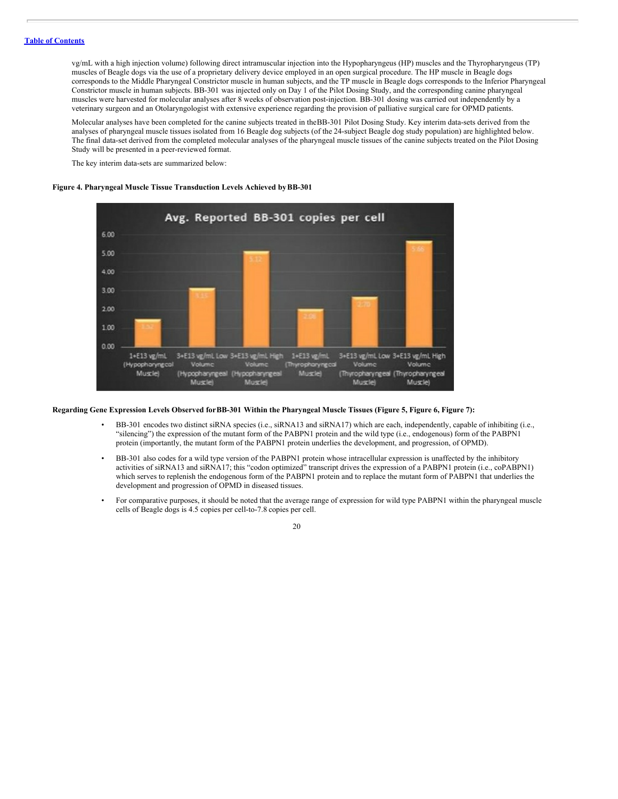vg/mL with a high injection volume) following direct intramuscular injection into the Hypopharyngeus (HP) muscles and the Thyropharyngeus (TP) muscles of Beagle dogs via the use of a proprietary delivery device employed in an open surgical procedure. The HP muscle in Beagle dogs corresponds to the Middle Pharyngeal Constrictor muscle in human subjects, and the TP muscle in Beagle dogs corresponds to the Inferior Pharyngeal Constrictor muscle in human subjects. BB-301 was injected only on Day 1 of the Pilot Dosing Study, and the corresponding canine pharyngeal muscles were harvested for molecular analyses after 8 weeks of observation post-injection. BB-301 dosing was carried out independently by a veterinary surgeon and an Otolaryngologist with extensive experience regarding the provision of palliative surgical care for OPMD patients.

Molecular analyses have been completed for the canine subjects treated in theBB-301 Pilot Dosing Study. Key interim data-sets derived from the analyses of pharyngeal muscle tissues isolated from 16 Beagle dog subjects (of the 24-subject Beagle dog study population) are highlighted below. The final data-set derived from the completed molecular analyses of the pharyngeal muscle tissues of the canine subjects treated on the Pilot Dosing Study will be presented in a peer-reviewed format.

The key interim data-sets are summarized below:

# **Figure 4. Pharyngeal Muscle Tissue Transduction Levels Achieved byBB-301**



#### Regarding Gene Expression Levels Observed for BB-301 Within the Pharyngeal Muscle Tissues (Figure 5, Figure 6, Figure 7):

- BB-301 encodes two distinct siRNA species (i.e., siRNA13 and siRNA17) which are each, independently, capable of inhibiting (i.e., "silencing") the expression of the mutant form of the PABPN1 protein and the wild type (i.e., endogenous) form of the PABPN1 protein (importantly, the mutant form of the PABPN1 protein underlies the development, and progression, of OPMD).
- BB-301 also codes for a wild type version of the PABPN1 protein whose intracellular expression is unaffected by the inhibitory activities of siRNA13 and siRNA17; this "codon optimized" transcript drives the expression of a PABPN1 protein (i.e., coPABPN1) which serves to replenish the endogenous form of the PABPN1 protein and to replace the mutant form of PABPN1 that underlies the development and progression of OPMD in diseased tissues.
- For comparative purposes, it should be noted that the average range of expression for wild type PABPN1 within the pharyngeal muscle cells of Beagle dogs is 4.5 copies per cell-to-7.8 copies per cell.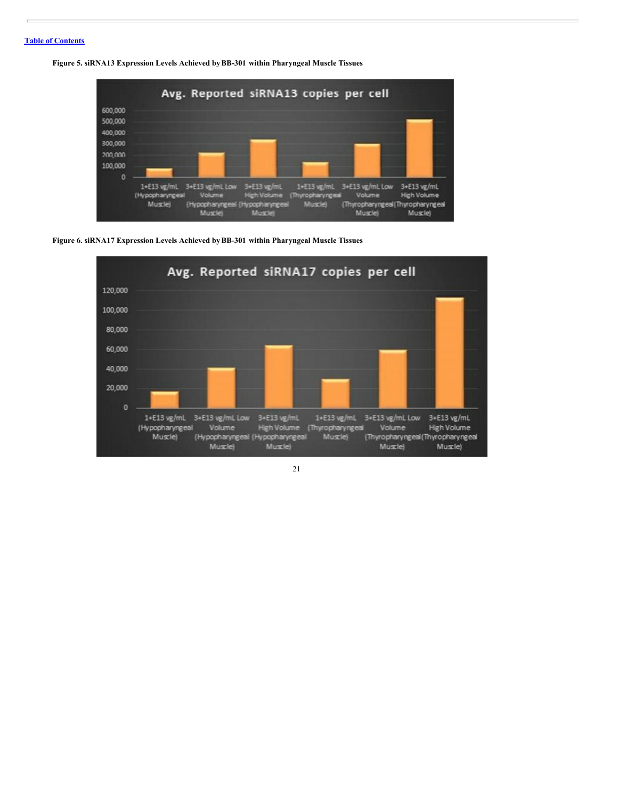**Figure 5. siRNA13 Expression Levels Achieved byBB-301 within Pharyngeal Muscle Tissues**







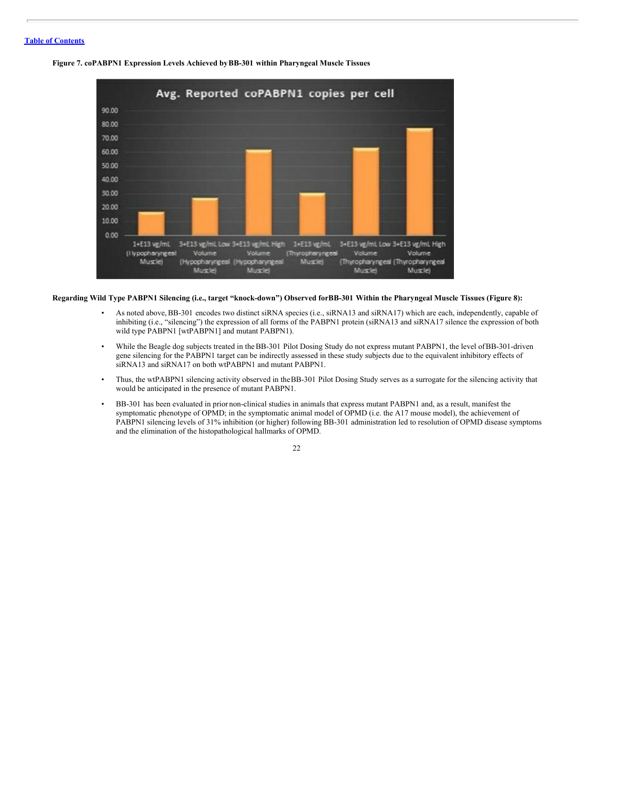# **Table of [Contents](#page-1-0)**



**Figure 7. coPABPN1 Expression Levels Achieved byBB-301 within Pharyngeal Muscle Tissues**

#### Regarding Wild Type PABPN1 Silencing (i.e., target "knock-down") Observed forBB-301 Within the Pharyngeal Muscle Tissues (Figure 8):

- As noted above,BB-301 encodes two distinct siRNA species (i.e., siRNA13 and siRNA17) which are each, independently, capable of inhibiting (i.e., "silencing") the expression of all forms of the PABPN1 protein (siRNA13 and siRNA17 silence the expression of both wild type PABPN1 [wtPABPN1] and mutant PABPN1).
- While the Beagle dog subjects treated in the BB-301 Pilot Dosing Study do not express mutant PABPN1, the level of BB-301-driven gene silencing for the PABPN1 target can be indirectly assessed in these study subjects due to the equivalent inhibitory effects of siRNA13 and siRNA17 on both wtPABPN1 and mutant PABPN1.
- Thus, the wtPABPN1 silencing activity observed in theBB-301 Pilot Dosing Study serves as a surrogate for the silencing activity that would be anticipated in the presence of mutant PABPN1.
- BB-301 has been evaluated in prior non-clinical studies in animals that express mutant PABPN1 and, as a result, manifest the symptomatic phenotype of OPMD; in the symptomatic animal model of OPMD (i.e. the A17 mouse model), the achievement of PABPN1 silencing levels of 31% inhibition (or higher) following BB-301 administration led to resolution of OPMD disease symptoms and the elimination of the histopathological hallmarks of OPMD.

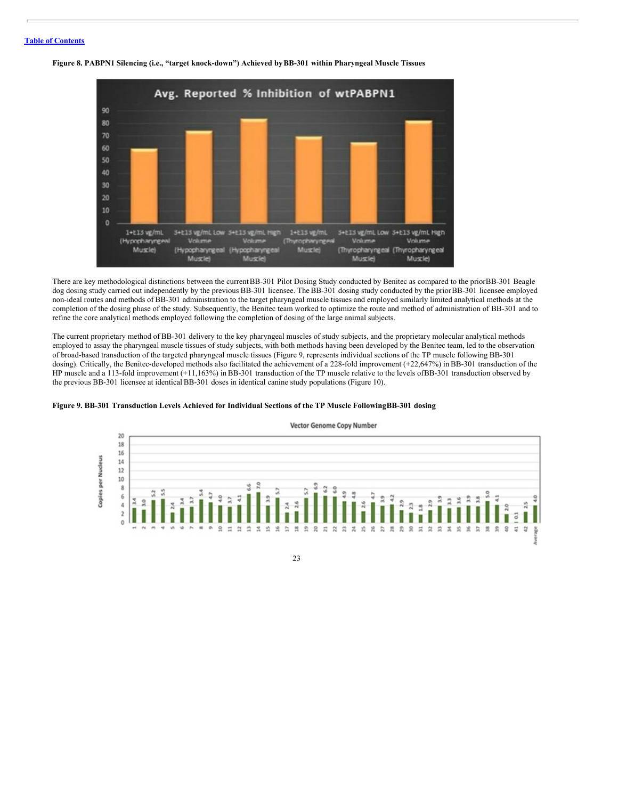

**Figure 8. PABPN1 Silencing (i.e., "target knock-down") Achieved byBB-301 within Pharyngeal Muscle Tissues**

There are key methodological distinctions between the currentBB-301 Pilot Dosing Study conducted by Benitec as compared to the priorBB-301 Beagle dog dosing study carried out independently by the previous BB-301 licensee. The BB-301 dosing study conducted by the priorBB-301 licensee employed non-ideal routes and methods of BB-301 administration to the target pharyngeal muscle tissues and employed similarly limited analytical methods at the completion of the dosing phase of the study. Subsequently, the Benitec team worked to optimize the route and method of administration of BB-301 and to refine the core analytical methods employed following the completion of dosing of the large animal subjects.

The current proprietary method of BB-301 delivery to the key pharyngeal muscles of study subjects, and the proprietary molecular analytical methods employed to assay the pharyngeal muscle tissues of study subjects, with both methods having been developed by the Benitec team, led to the observation of broad-based transduction of the targeted pharyngeal muscle tissues (Figure 9, represents individual sections of the TP muscle following BB-301 dosing). Critically, the Benitec-developed methods also facilitated the achievement of a 228-fold improvement (+22,647%) in BB-301 transduction of the HP muscle and a 113-fold improvement (+11,163%) in BB-301 transduction of the TP muscle relative to the levels ofBB-301 transduction observed by the previous BB-301 licensee at identical BB-301 doses in identical canine study populations (Figure 10).

#### **Figure 9. BB-301 Transduction Levels Achieved for Individual Sections of the TP Muscle FollowingBB-301 dosing**



# Vector Genome Copy Number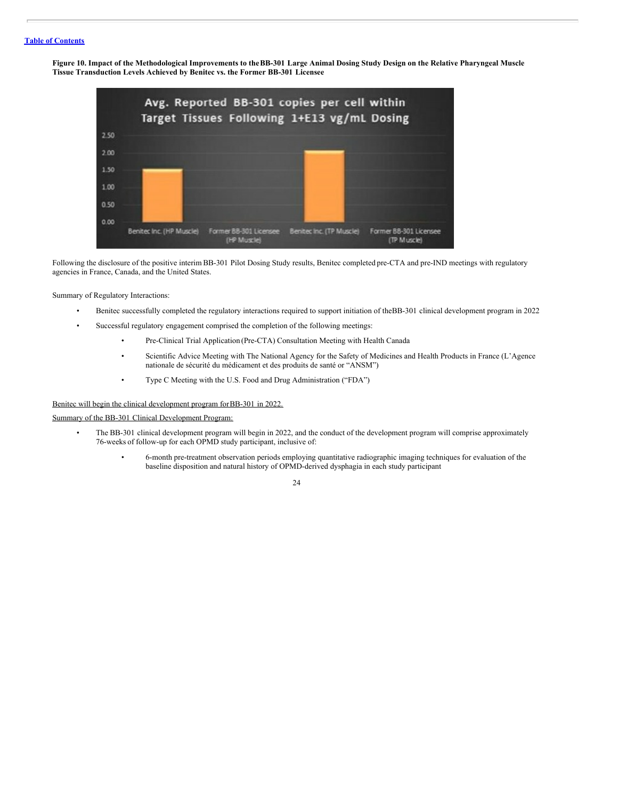# **Table of [Contents](#page-1-0)**

Figure 10. Impact of the Methodological Improvements to the BB-301 Large Animal Dosing Study Design on the Relative Pharyngeal Muscle **Tissue Transduction Levels Achieved by Benitec vs. the Former BB-301 Licensee**



Following the disclosure of the positive interim BB-301 Pilot Dosing Study results, Benitec completed pre-CTA and pre-IND meetings with regulatory agencies in France, Canada, and the United States.

Summary of Regulatory Interactions:

- Benitec successfully completed the regulatory interactions required to support initiation of theBB-301 clinical development program in 2022
- Successful regulatory engagement comprised the completion of the following meetings:
	- Pre-Clinical Trial Application (Pre-CTA) Consultation Meeting with Health Canada
	- Scientific Advice Meeting with The National Agency for the Safety of Medicines and Health Products in France (L'Agence nationale de sécurité du médicament et des produits de santé or "ANSM")
	- Type C Meeting with the U.S. Food and Drug Administration ("FDA")

Benitec will begin the clinical development program forBB-301 in 2022.

Summary of the BB-301 Clinical Development Program:

- The BB-301 clinical development program will begin in 2022, and the conduct of the development program will comprise approximately 76-weeks of follow-up for each OPMD study participant, inclusive of:
	- 6-month pre-treatment observation periods employing quantitative radiographic imaging techniques for evaluation of the baseline disposition and natural history of OPMD-derived dysphagia in each study participant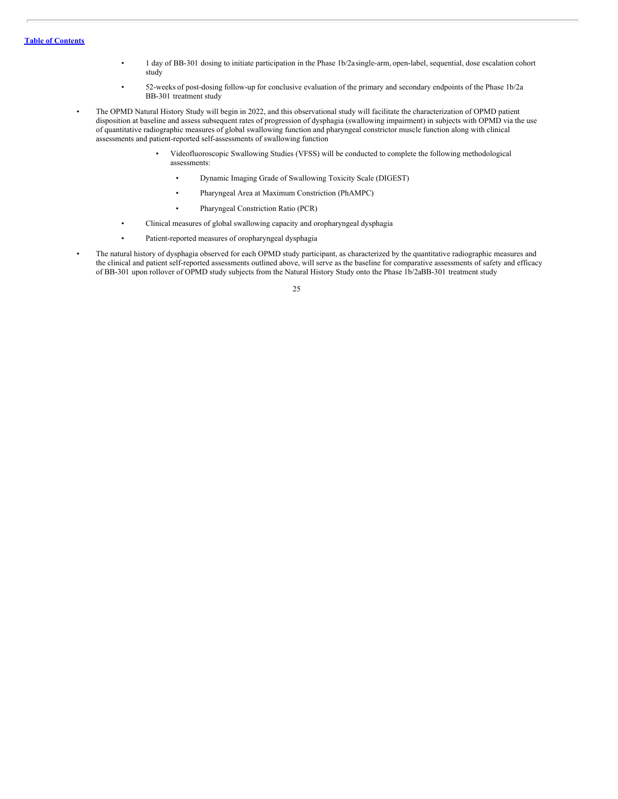- 1 day of BB-301 dosing to initiate participation in the Phase 1b/2asingle-arm, open-label, sequential, dose escalation cohort study
- 52-weeks of post-dosing follow-up for conclusive evaluation of the primary and secondary endpoints of the Phase 1b/2a BB-301 treatment study
- The OPMD Natural History Study will begin in 2022, and this observational study will facilitate the characterization of OPMD patient disposition at baseline and assess subsequent rates of progression of dysphagia (swallowing impairment) in subjects with OPMD via the use of quantitative radiographic measures of global swallowing function and pharyngeal constrictor muscle function along with clinical assessments and patient-reported self-assessments of swallowing function
	- Videofluoroscopic Swallowing Studies (VFSS) will be conducted to complete the following methodological assessments:
		- Dynamic Imaging Grade of Swallowing Toxicity Scale (DIGEST)
		- Pharyngeal Area at Maximum Constriction (PhAMPC)
		- Pharyngeal Constriction Ratio (PCR)
	- Clinical measures of global swallowing capacity and oropharyngeal dysphagia
	- Patient-reported measures of oropharyngeal dysphagia
- The natural history of dysphagia observed for each OPMD study participant, as characterized by the quantitative radiographic measures and the clinical and patient self-reported assessments outlined above, will serve as the baseline for comparative assessments of safety and efficacy of BB-301 upon rollover of OPMD study subjects from the Natural History Study onto the Phase 1b/2aBB-301 treatment study
	- 25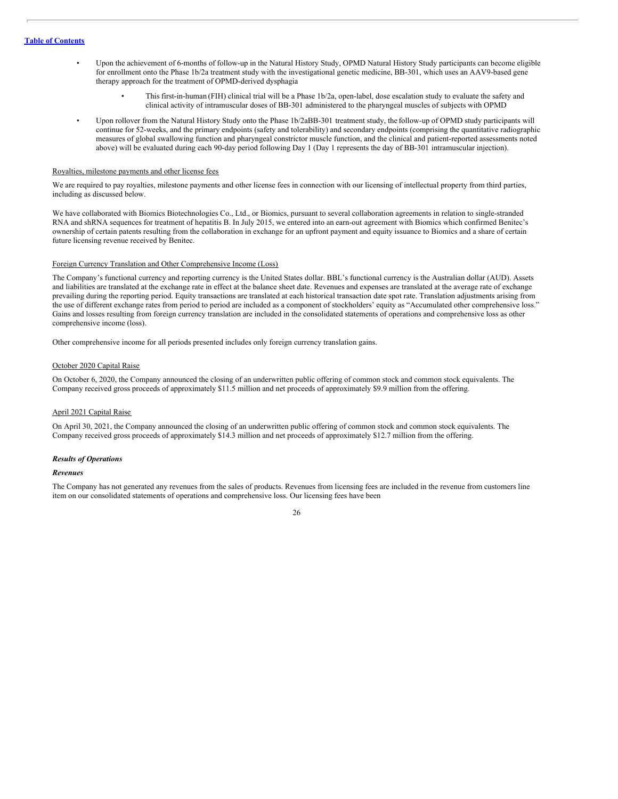- Upon the achievement of 6-months of follow-up in the Natural History Study, OPMD Natural History Study participants can become eligible for enrollment onto the Phase 1b/2a treatment study with the investigational genetic medicine, BB-301, which uses an AAV9-based gene therapy approach for the treatment of OPMD-derived dysphagia
	- This first-in-human (FIH) clinical trial will be a Phase 1b/2a, open-label, dose escalation study to evaluate the safety and clinical activity of intramuscular doses of BB-301 administered to the pharyngeal muscles of subjects with OPMD
- Upon rollover from the Natural History Study onto the Phase 1b/2aBB-301 treatment study, the follow-up of OPMD study participants will continue for 52-weeks, and the primary endpoints (safety and tolerability) and secondary endpoints (comprising the quantitative radiographic measures of global swallowing function and pharyngeal constrictor muscle function, and the clinical and patient-reported assessments noted above) will be evaluated during each 90-day period following Day 1 (Day 1 represents the day of BB-301 intramuscular injection).

#### Royalties, milestone payments and other license fees

We are required to pay royalties, milestone payments and other license fees in connection with our licensing of intellectual property from third parties, including as discussed below.

We have collaborated with Biomics Biotechnologies Co., Ltd., or Biomics, pursuant to several collaboration agreements in relation to single-stranded RNA and shRNA sequences for treatment of hepatitis B. In July 2015, we entered into an earn-out agreement with Biomics which confirmed Benitec's ownership of certain patents resulting from the collaboration in exchange for an upfront payment and equity issuance to Biomics and a share of certain future licensing revenue received by Benitec.

#### Foreign Currency Translation and Other Comprehensive Income (Loss)

The Company's functional currency and reporting currency is the United States dollar. BBL's functional currency is the Australian dollar (AUD). Assets and liabilities are translated at the exchange rate in effect at the balance sheet date. Revenues and expenses are translated at the average rate of exchange prevailing during the reporting period. Equity transactions are translated at each historical transaction date spot rate. Translation adjustments arising from the use of different exchange rates from period to period are included as a component of stockholders' equity as "Accumulated other comprehensive loss." Gains and losses resulting from foreign currency translation are included in the consolidated statements of operations and comprehensive loss as other comprehensive income (loss).

Other comprehensive income for all periods presented includes only foreign currency translation gains.

# October 2020 Capital Raise

On October 6, 2020, the Company announced the closing of an underwritten public offering of common stock and common stock equivalents. The Company received gross proceeds of approximately \$11.5 million and net proceeds of approximately \$9.9 million from the offering.

# April 2021 Capital Raise

On April 30, 2021, the Company announced the closing of an underwritten public offering of common stock and common stock equivalents. The Company received gross proceeds of approximately \$14.3 million and net proceeds of approximately \$12.7 million from the offering.

# *Results of Operations*

#### *Revenues*

The Company has not generated any revenues from the sales of products. Revenues from licensing fees are included in the revenue from customers line item on our consolidated statements of operations and comprehensive loss. Our licensing fees have been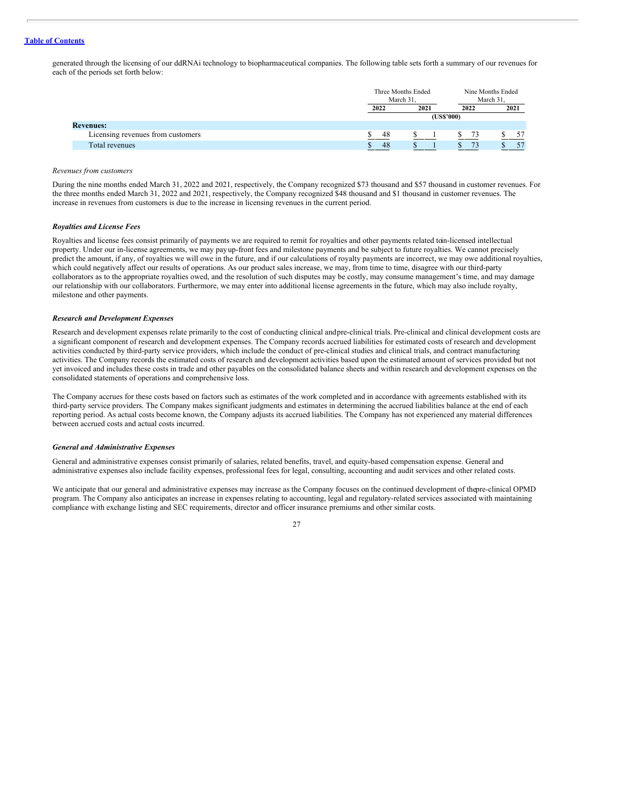generated through the licensing of our ddRNAi technology to biopharmaceutical companies. The following table sets forth a summary of our revenues for each of the periods set forth below:

|                                   |      | Three Months Ended<br>March 31. |      | Nine Months Ended<br>March 31. |  |
|-----------------------------------|------|---------------------------------|------|--------------------------------|--|
|                                   | 2022 | 2021                            | 2022 | 2021                           |  |
|                                   |      | (USS'000)                       |      |                                |  |
| <b>Revenues:</b>                  |      |                                 |      |                                |  |
| Licensing revenues from customers | 48   |                                 | 73   | 57                             |  |
| Total revenues                    | 48   |                                 | 73   | 57                             |  |

#### *Revenues from customers*

During the nine months ended March 31, 2022 and 2021, respectively, the Company recognized \$73 thousand and \$57 thousand in customer revenues. For the three months ended March 31, 2022 and 2021, respectively, the Company recognized \$48 thousand and \$1 thousand in customer revenues. The increase in revenues from customers is due to the increase in licensing revenues in the current period.

# *Royalties and License Fees*

Royalties and license fees consist primarily of payments we are required to remit for royalties and other payments related toin-licensed intellectual property. Under our in-license agreements, we may payup-front fees and milestone payments and be subject to future royalties. We cannot precisely predict the amount, if any, of royalties we will owe in the future, and if our calculations of royalty payments are incorrect, we may owe additional royalties, which could negatively affect our results of operations. As our product sales increase, we may, from time to time, disagree with our third-party collaborators as to the appropriate royalties owed, and the resolution of such disputes may be costly, may consume management's time, and may damage our relationship with our collaborators. Furthermore, we may enter into additional license agreements in the future, which may also include royalty, milestone and other payments.

#### *Research and Development Expenses*

Research and development expenses relate primarily to the cost of conducting clinical andpre-clinical trials. Pre-clinical and clinical development costs are a significant component of research and development expenses. The Company records accrued liabilities for estimated costs of research and development activities conducted by third-party service providers, which include the conduct of pre-clinical studies and clinical trials, and contract manufacturing activities. The Company records the estimated costs of research and development activities based upon the estimated amount of services provided but not yet invoiced and includes these costs in trade and other payables on the consolidated balance sheets and within research and development expenses on the consolidated statements of operations and comprehensive loss.

The Company accrues for these costs based on factors such as estimates of the work completed and in accordance with agreements established with its third-party service providers. The Company makes significant judgments and estimates in determining the accrued liabilities balance at the end of each reporting period. As actual costs become known, the Company adjusts its accrued liabilities. The Company has not experienced any material differences between accrued costs and actual costs incurred.

# *General and Administrative Expenses*

General and administrative expenses consist primarily of salaries, related benefits, travel, and equity-based compensation expense. General and administrative expenses also include facility expenses, professional fees for legal, consulting, accounting and audit services and other related costs.

We anticipate that our general and administrative expenses may increase as the Company focuses on the continued development of thepre-clinical OPMD program. The Company also anticipates an increase in expenses relating to accounting, legal and regulatory-related services associated with maintaining compliance with exchange listing and SEC requirements, director and officer insurance premiums and other similar costs.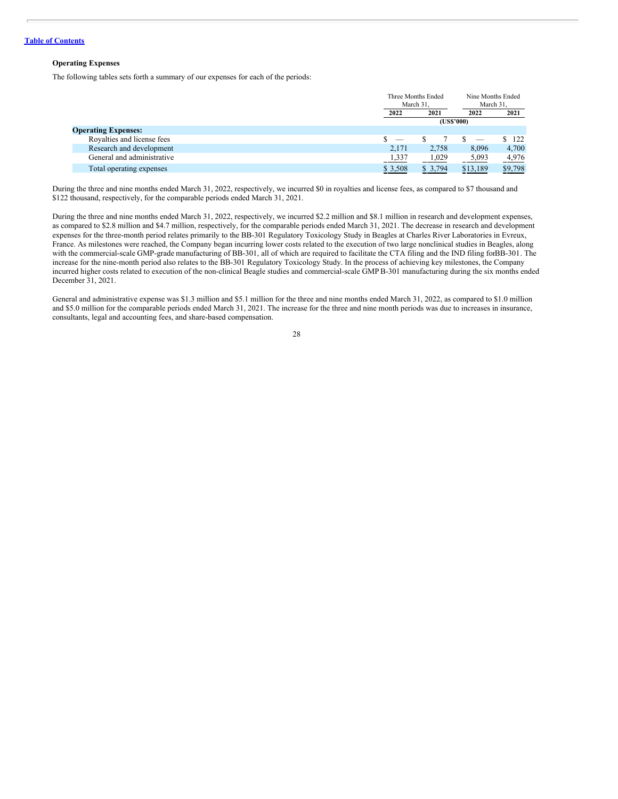# **Operating Expenses**

The following tables sets forth a summary of our expenses for each of the periods:

|                            | Three Months Ended<br>March 31, |          | Nine Months Ended<br>March 31, |         |
|----------------------------|---------------------------------|----------|--------------------------------|---------|
|                            | 2022                            | 2021     | 2022                           | 2021    |
|                            | (USS'000)                       |          |                                |         |
| <b>Operating Expenses:</b> |                                 |          |                                |         |
| Royalties and license fees | $\overbrace{\hspace{25mm}}^{}$  |          |                                | 122     |
| Research and development   | 2,171                           | 2,758    | 8.096                          | 4,700   |
| General and administrative | 1,337                           | 1,029    | 5,093                          | 4,976   |
| Total operating expenses   | \$3,508                         | \$ 3.794 | \$13,189                       | \$9,798 |

During the three and nine months ended March 31, 2022, respectively, we incurred \$0 in royalties and license fees, as compared to \$7 thousand and \$122 thousand, respectively, for the comparable periods ended March 31, 2021.

During the three and nine months ended March 31, 2022, respectively, we incurred \$2.2 million and \$8.1 million in research and development expenses, as compared to \$2.8 million and \$4.7 million, respectively, for the comparable periods ended March 31, 2021. The decrease in research and development expenses for the three-month period relates primarily to the BB-301 Regulatory Toxicology Study in Beagles at Charles River Laboratories in Evreux, France. As milestones were reached, the Company began incurring lower costs related to the execution of two large nonclinical studies in Beagles, along with the commercial-scale GMP-grade manufacturing of BB-301, all of which are required to facilitate the CTA filing and the IND filing forBB-301. The increase for the nine-month period also relates to the BB-301 Regulatory Toxicology Study. In the process of achieving key milestones, the Company incurred higher costs related to execution of the non-clinical Beagle studies and commercial-scale GMP B-301 manufacturing during the six months ended December 31, 2021.

General and administrative expense was \$1.3 million and \$5.1 million for the three and nine months ended March 31, 2022, as compared to \$1.0 million and \$5.0 million for the comparable periods ended March 31, 2021. The increase for the three and nine month periods was due to increases in insurance, consultants, legal and accounting fees, and share-based compensation.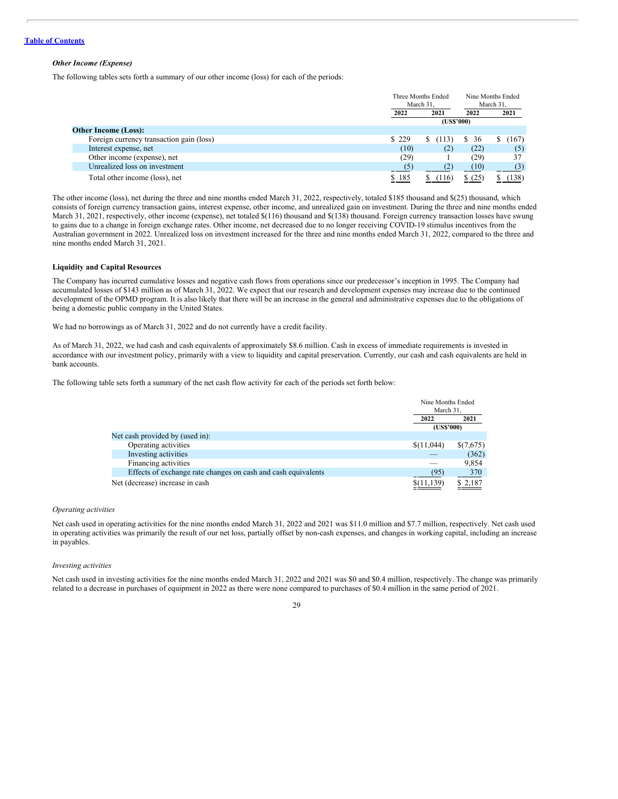#### *Other Income (Expense)*

The following tables sets forth a summary of our other income (loss) for each of the periods:

|                                          |       | Three Months Ended<br>March 31. |          | Nine Months Ended<br>March 31, |  |  |  |  |  |  |  |  |  |  |  |  |  |  |  |  |  |  |  |  |  |  |  |  |  |  |  |  |  |      |
|------------------------------------------|-------|---------------------------------|----------|--------------------------------|--|--|--|--|--|--|--|--|--|--|--|--|--|--|--|--|--|--|--|--|--|--|--|--|--|--|--|--|--|------|
|                                          | 2022  | 2021                            |          | 2022                           |  |  |  |  |  |  |  |  |  |  |  |  |  |  |  |  |  |  |  |  |  |  |  |  |  |  |  |  |  | 2021 |
|                                          |       | (US\$'000)                      |          |                                |  |  |  |  |  |  |  |  |  |  |  |  |  |  |  |  |  |  |  |  |  |  |  |  |  |  |  |  |  |      |
| <b>Other Income (Loss):</b>              |       |                                 |          |                                |  |  |  |  |  |  |  |  |  |  |  |  |  |  |  |  |  |  |  |  |  |  |  |  |  |  |  |  |  |      |
| Foreign currency transaction gain (loss) | \$229 | (113)                           | 36<br>S. | (167)<br>S                     |  |  |  |  |  |  |  |  |  |  |  |  |  |  |  |  |  |  |  |  |  |  |  |  |  |  |  |  |  |      |
| Interest expense, net                    | (10)  | (2)                             | (22)     | (5)                            |  |  |  |  |  |  |  |  |  |  |  |  |  |  |  |  |  |  |  |  |  |  |  |  |  |  |  |  |  |      |
| Other income (expense), net              | (29)  |                                 | (29)     | 37                             |  |  |  |  |  |  |  |  |  |  |  |  |  |  |  |  |  |  |  |  |  |  |  |  |  |  |  |  |  |      |
| Unrealized loss on investment            | (5)   | (2)                             | (10)     | (3)                            |  |  |  |  |  |  |  |  |  |  |  |  |  |  |  |  |  |  |  |  |  |  |  |  |  |  |  |  |  |      |
| Total other income (loss), net           | \$185 | (116)                           | \$(25)   | 138)                           |  |  |  |  |  |  |  |  |  |  |  |  |  |  |  |  |  |  |  |  |  |  |  |  |  |  |  |  |  |      |

The other income (loss), net during the three and nine months ended March 31, 2022, respectively, totaled \$185 thousand and \$(25) thousand, which consists of foreign currency transaction gains, interest expense, other income, and unrealized gain on investment. During the three and nine months ended March 31, 2021, respectively, other income (expense), net totaled \$(116) thousand and \$(138) thousand. Foreign currency transaction losses have swung to gains due to a change in foreign exchange rates. Other income, net decreased due to no longer receiving COVID-19 stimulus incentives from the Australian government in 2022. Unrealized loss on investment increased for the three and nine months ended March 31, 2022, compared to the three and nine months ended March 31, 2021.

# **Liquidity and Capital Resources**

The Company has incurred cumulative losses and negative cash flows from operations since our predecessor's inception in 1995. The Company had accumulated losses of \$143 million as of March 31, 2022. We expect that our research and development expenses may increase due to the continued development of the OPMD program. It is also likely that there will be an increase in the general and administrative expenses due to the obligations of being a domestic public company in the United States.

We had no borrowings as of March 31, 2022 and do not currently have a credit facility.

As of March 31, 2022, we had cash and cash equivalents of approximately \$8.6 million. Cash in excess of immediate requirements is invested in accordance with our investment policy, primarily with a view to liquidity and capital preservation. Currently, our cash and cash equivalents are held in bank accounts.

The following table sets forth a summary of the net cash flow activity for each of the periods set forth below:

|                                                               | Nine Months Ended<br>March 31. |           |  |
|---------------------------------------------------------------|--------------------------------|-----------|--|
|                                                               | 2022<br>(USS'000)              | 2021      |  |
| Net cash provided by (used in):                               |                                |           |  |
| Operating activities                                          | \$(11,044)                     | \$(7,675) |  |
| Investing activities                                          |                                | (362)     |  |
| Financing activities                                          |                                | 9,854     |  |
| Effects of exchange rate changes on cash and cash equivalents | (95)                           | 370       |  |
| Net (decrease) increase in cash                               | \$(11, 139)                    | \$2,187   |  |

# *Operating activities*

Net cash used in operating activities for the nine months ended March 31, 2022 and 2021 was \$11.0 million and \$7.7 million, respectively. Net cash used in operating activities was primarily the result of our net loss, partially offset by non-cash expenses, and changes in working capital, including an increase in payables.

# *Investing activities*

Net cash used in investing activities for the nine months ended March 31, 2022 and 2021 was \$0 and \$0.4 million, respectively. The change was primarily related to a decrease in purchases of equipment in 2022 as there were none compared to purchases of \$0.4 million in the same period of 2021.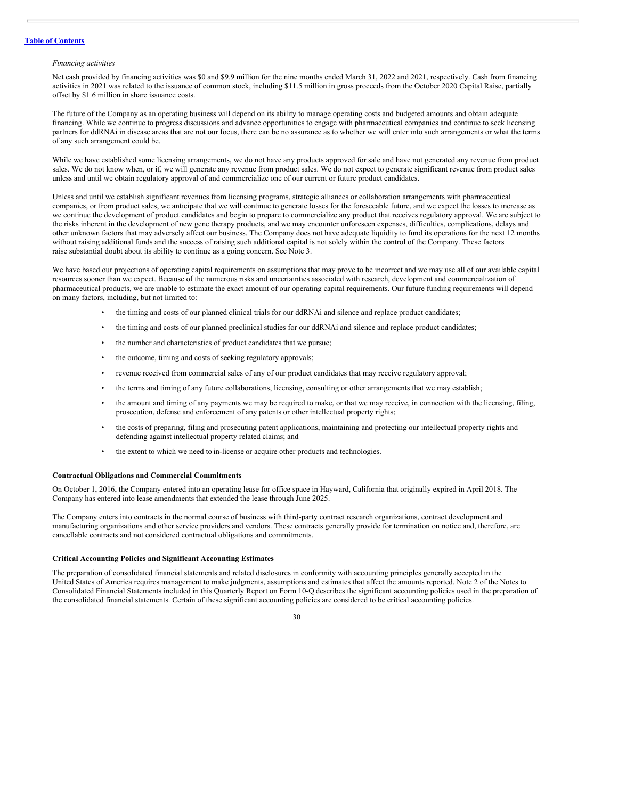#### *Financing activities*

Net cash provided by financing activities was \$0 and \$9.9 million for the nine months ended March 31, 2022 and 2021, respectively. Cash from financing activities in 2021 was related to the issuance of common stock, including \$11.5 million in gross proceeds from the October 2020 Capital Raise, partially offset by \$1.6 million in share issuance costs.

The future of the Company as an operating business will depend on its ability to manage operating costs and budgeted amounts and obtain adequate financing. While we continue to progress discussions and advance opportunities to engage with pharmaceutical companies and continue to seek licensing partners for ddRNAi in disease areas that are not our focus, there can be no assurance as to whether we will enter into such arrangements or what the terms of any such arrangement could be.

While we have established some licensing arrangements, we do not have any products approved for sale and have not generated any revenue from product sales. We do not know when, or if, we will generate any revenue from product sales. We do not expect to generate significant revenue from product sales unless and until we obtain regulatory approval of and commercialize one of our current or future product candidates.

Unless and until we establish significant revenues from licensing programs, strategic alliances or collaboration arrangements with pharmaceutical companies, or from product sales, we anticipate that we will continue to generate losses for the foreseeable future, and we expect the losses to increase as we continue the development of product candidates and begin to prepare to commercialize any product that receives regulatory approval. We are subject to the risks inherent in the development of new gene therapy products, and we may encounter unforeseen expenses, difficulties, complications, delays and other unknown factors that may adversely affect our business. The Company does not have adequate liquidity to fund its operations for the next 12 months without raising additional funds and the success of raising such additional capital is not solely within the control of the Company. These factors raise substantial doubt about its ability to continue as a going concern. See Note 3.

We have based our projections of operating capital requirements on assumptions that may prove to be incorrect and we may use all of our available capital resources sooner than we expect. Because of the numerous risks and uncertainties associated with research, development and commercialization of pharmaceutical products, we are unable to estimate the exact amount of our operating capital requirements. Our future funding requirements will depend on many factors, including, but not limited to:

- the timing and costs of our planned clinical trials for our ddRNAi and silence and replace product candidates;
- the timing and costs of our planned preclinical studies for our ddRNAi and silence and replace product candidates;
- the number and characteristics of product candidates that we pursue;
- the outcome, timing and costs of seeking regulatory approvals;
- revenue received from commercial sales of any of our product candidates that may receive regulatory approval;
- the terms and timing of any future collaborations, licensing, consulting or other arrangements that we may establish;
- the amount and timing of any payments we may be required to make, or that we may receive, in connection with the licensing, filing, prosecution, defense and enforcement of any patents or other intellectual property rights;
- the costs of preparing, filing and prosecuting patent applications, maintaining and protecting our intellectual property rights and defending against intellectual property related claims; and
- the extent to which we need to in-license or acquire other products and technologies.

# **Contractual Obligations and Commercial Commitments**

On October 1, 2016, the Company entered into an operating lease for office space in Hayward, California that originally expired in April 2018. The Company has entered into lease amendments that extended the lease through June 2025.

The Company enters into contracts in the normal course of business with third-party contract research organizations, contract development and manufacturing organizations and other service providers and vendors. These contracts generally provide for termination on notice and, therefore, are cancellable contracts and not considered contractual obligations and commitments.

# **Critical Accounting Policies and Significant Accounting Estimates**

The preparation of consolidated financial statements and related disclosures in conformity with accounting principles generally accepted in the United States of America requires management to make judgments, assumptions and estimates that affect the amounts reported. Note 2 of the Notes to Consolidated Financial Statements included in this Quarterly Report on Form 10-Q describes the significant accounting policies used in the preparation of the consolidated financial statements. Certain of these significant accounting policies are considered to be critical accounting policies.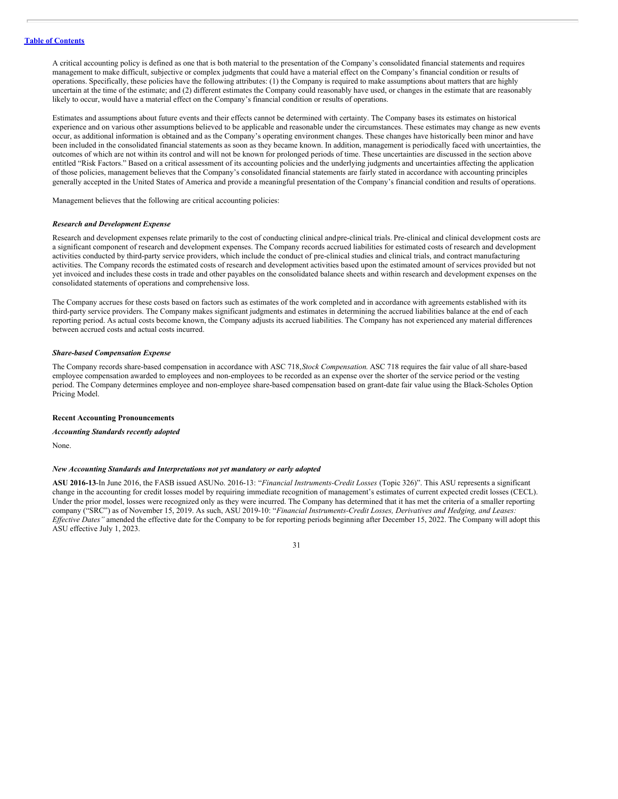A critical accounting policy is defined as one that is both material to the presentation of the Company's consolidated financial statements and requires management to make difficult, subjective or complex judgments that could have a material effect on the Company's financial condition or results of operations. Specifically, these policies have the following attributes: (1) the Company is required to make assumptions about matters that are highly uncertain at the time of the estimate; and (2) different estimates the Company could reasonably have used, or changes in the estimate that are reasonably likely to occur, would have a material effect on the Company's financial condition or results of operations.

Estimates and assumptions about future events and their effects cannot be determined with certainty. The Company bases its estimates on historical experience and on various other assumptions believed to be applicable and reasonable under the circumstances. These estimates may change as new events occur, as additional information is obtained and as the Company's operating environment changes. These changes have historically been minor and have been included in the consolidated financial statements as soon as they became known. In addition, management is periodically faced with uncertainties, the outcomes of which are not within its control and will not be known for prolonged periods of time. These uncertainties are discussed in the section above entitled "Risk Factors." Based on a critical assessment of its accounting policies and the underlying judgments and uncertainties affecting the application of those policies, management believes that the Company's consolidated financial statements are fairly stated in accordance with accounting principles generally accepted in the United States of America and provide a meaningful presentation of the Company's financial condition and results of operations.

Management believes that the following are critical accounting policies:

#### *Research and Development Expense*

Research and development expenses relate primarily to the cost of conducting clinical andpre-clinical trials. Pre-clinical and clinical development costs are a significant component of research and development expenses. The Company records accrued liabilities for estimated costs of research and development activities conducted by third-party service providers, which include the conduct of pre-clinical studies and clinical trials, and contract manufacturing activities. The Company records the estimated costs of research and development activities based upon the estimated amount of services provided but not yet invoiced and includes these costs in trade and other payables on the consolidated balance sheets and within research and development expenses on the consolidated statements of operations and comprehensive loss.

The Company accrues for these costs based on factors such as estimates of the work completed and in accordance with agreements established with its third-party service providers. The Company makes significant judgments and estimates in determining the accrued liabilities balance at the end of each reporting period. As actual costs become known, the Company adjusts its accrued liabilities. The Company has not experienced any material differences between accrued costs and actual costs incurred.

#### *Share-based Compensation Expense*

The Company records share-based compensation in accordance with ASC 718,*Stock Compensation*. ASC 718 requires the fair value of all share-based employee compensation awarded to employees and non-employees to be recorded as an expense over the shorter of the service period or the vesting period. The Company determines employee and non-employee share-based compensation based on grant-date fair value using the Black-Scholes Option Pricing Model.

#### **Recent Accounting Pronouncements**

#### *Accounting Standards recently adopted*

None.

#### *New Accounting Standards and Interpretations not yet mandatory or early adopted*

**ASU 2016-13**-In June 2016, the FASB issued ASUNo. 2016-13: "*Financial Instruments-Credit Losses* (Topic 326)". This ASU represents a significant change in the accounting for credit losses model by requiring immediate recognition of management's estimates of current expected credit losses (CECL). Under the prior model, losses were recognized only as they were incurred. The Company has determined that it has met the criteria of a smaller reporting company ("SRC") as of November 15, 2019. As such, ASU 2019-10: "*Financial Instruments-Credit Losses, Derivatives and Hedging, and Leases: Effective Dates*" amended the effective date for the Company to be for reporting periods beginning after December 15, 2022. The Company will adopt this ASU effective July 1, 2023.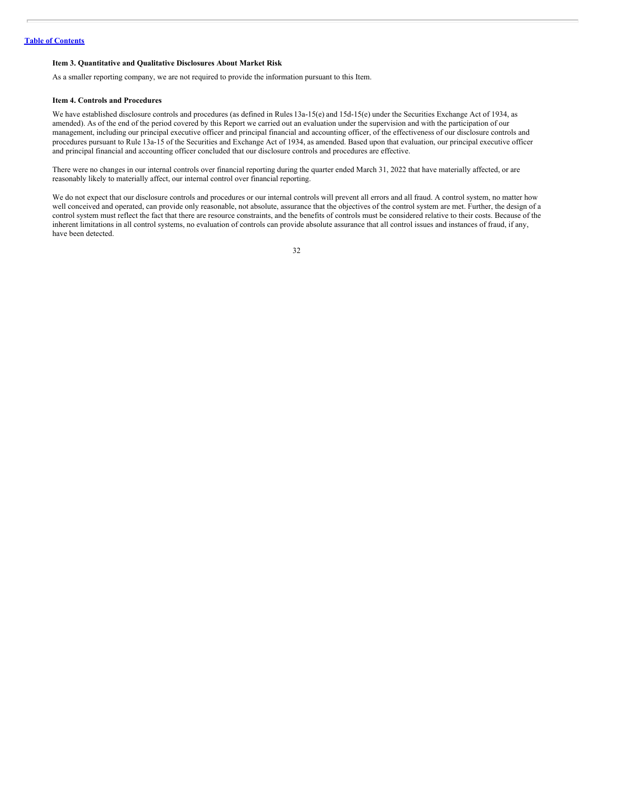#### <span id="page-32-0"></span>**Item 3. Quantitative and Qualitative Disclosures About Market Risk**

As a smaller reporting company, we are not required to provide the information pursuant to this Item.

# <span id="page-32-1"></span>**Item 4. Controls and Procedures**

We have established disclosure controls and procedures (as defined in Rules 13a-15(e) and 15d-15(e) under the Securities Exchange Act of 1934, as amended). As of the end of the period covered by this Report we carried out an evaluation under the supervision and with the participation of our management, including our principal executive officer and principal financial and accounting officer, of the effectiveness of our disclosure controls and procedures pursuant to Rule 13a-15 of the Securities and Exchange Act of 1934, as amended. Based upon that evaluation, our principal executive officer and principal financial and accounting officer concluded that our disclosure controls and procedures are effective.

There were no changes in our internal controls over financial reporting during the quarter ended March 31, 2022 that have materially affected, or are reasonably likely to materially affect, our internal control over financial reporting.

We do not expect that our disclosure controls and procedures or our internal controls will prevent all errors and all fraud. A control system, no matter how well conceived and operated, can provide only reasonable, not absolute, assurance that the objectives of the control system are met. Further, the design of a control system must reflect the fact that there are resource constraints, and the benefits of controls must be considered relative to their costs. Because of the inherent limitations in all control systems, no evaluation of controls can provide absolute assurance that all control issues and instances of fraud, if any, have been detected.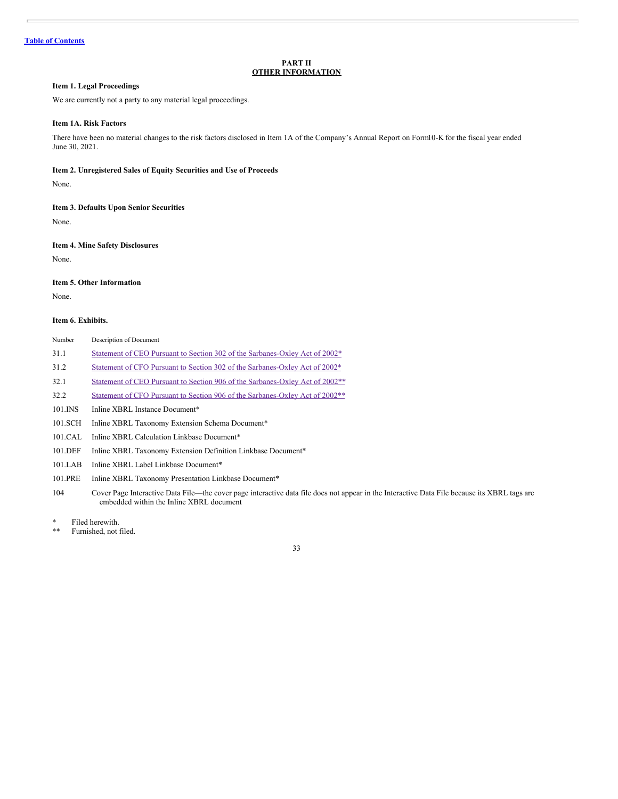# **PART II OTHER INFORMATION**

# <span id="page-33-1"></span><span id="page-33-0"></span>**Item 1. Legal Proceedings**

We are currently not a party to any material legal proceedings.

#### <span id="page-33-2"></span>**Item 1A. Risk Factors**

There have been no material changes to the risk factors disclosed in Item 1A of the Company's Annual Report on Form10-K for the fiscal year ended June 30, 2021.

# <span id="page-33-3"></span>**Item 2. Unregistered Sales of Equity Securities and Use of Proceeds**

None.

#### <span id="page-33-4"></span>**Item 3. Defaults Upon Senior Securities**

None.

# <span id="page-33-5"></span>**Item 4. Mine Safety Disclosures**

None.

# <span id="page-33-6"></span>**Item 5. Other Information**

None.

# <span id="page-33-7"></span>**Item 6. Exhibits.**

Number Description of Document

| Statement of CEO Pursuant to Section 302 of the Sarbanes-Oxley Act of 2002 <sup>*</sup><br>31.1 |  |
|-------------------------------------------------------------------------------------------------|--|
|-------------------------------------------------------------------------------------------------|--|

- 31.2 Statement of CFO Pursuant to Section 302 of the [Sarbanes-Oxley](#page-36-0) Act of 2002\*
- 32.1 Statement of CEO Pursuant to Section 906 of the [Sarbanes-Oxley](#page-37-0) Act of 2002<sup>\*\*</sup>
- 32.2 Statement of CFO Pursuant to Section 906 of the [Sarbanes-Oxley](#page-38-0) Act of 2002<sup>\*\*</sup>
- 101.INS Inline XBRL Instance Document\*
- 101.SCH Inline XBRL Taxonomy Extension Schema Document\*
- 101.CAL Inline XBRL Calculation Linkbase Document\*
- 101.DEF Inline XBRL Taxonomy Extension Definition Linkbase Document\*
- 101.LAB Inline XBRL Label Linkbase Document\*
- 101.PRE Inline XBRL Taxonomy Presentation Linkbase Document\*
- 104 Cover Page Interactive Data File—the cover page interactive data file does not appear in the Interactive Data File because its XBRL tags are embedded within the Inline XBRL document
- Filed herewith.
- Furnished, not filed.

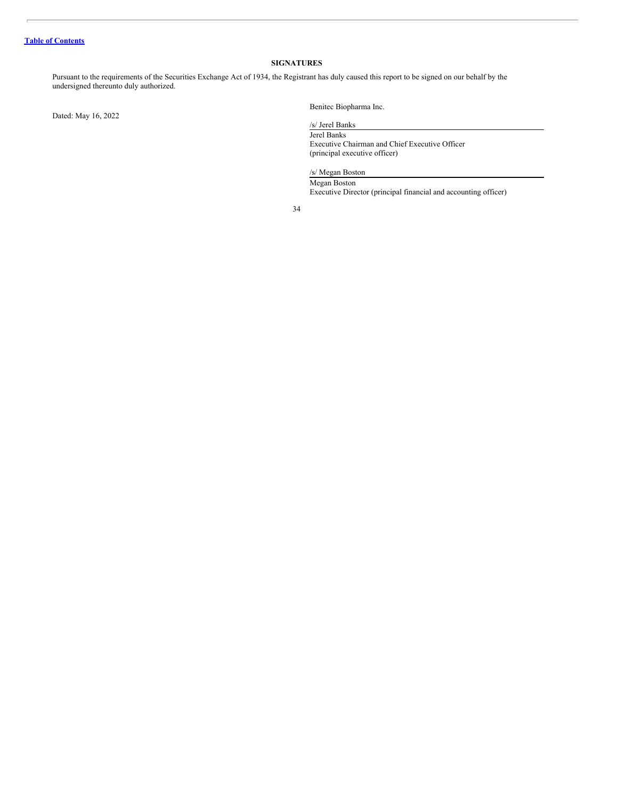# **SIGNATURES**

<span id="page-34-0"></span>Pursuant to the requirements of the Securities Exchange Act of 1934, the Registrant has duly caused this report to be signed on our behalf by the undersigned thereunto duly authorized.

Dated: May 16, 2022

Benitec Biopharma Inc.

#### /s/ Jerel Banks

Jerel Banks Executive Chairman and Chief Executive Officer (principal executive officer)

/s/ Megan Boston

Megan Boston Executive Director (principal financial and accounting officer)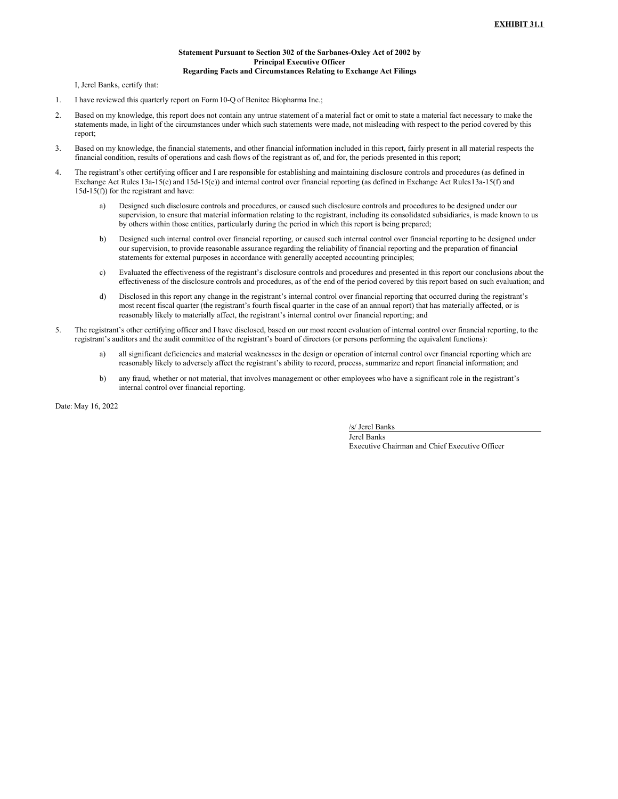#### **Statement Pursuant to Section 302 of the Sarbanes-Oxley Act of 2002 by Principal Executive Officer Regarding Facts and Circumstances Relating to Exchange Act Filings**

<span id="page-35-0"></span>I, Jerel Banks, certify that:

- 1. I have reviewed this quarterly report on Form10-Q of Benitec Biopharma Inc.;
- 2. Based on my knowledge, this report does not contain any untrue statement of a material fact or omit to state a material fact necessary to make the statements made, in light of the circumstances under which such statements were made, not misleading with respect to the period covered by this report;
- 3. Based on my knowledge, the financial statements, and other financial information included in this report, fairly present in all material respects the financial condition, results of operations and cash flows of the registrant as of, and for, the periods presented in this report;
- 4. The registrant's other certifying officer and I are responsible for establishing and maintaining disclosure controls and procedures (as defined in Exchange Act Rules 13a-15(e) and 15d-15(e)) and internal control over financial reporting (as defined in Exchange Act Rules13a-15(f) and 15d-15(f)) for the registrant and have:
	- a) Designed such disclosure controls and procedures, or caused such disclosure controls and procedures to be designed under our supervision, to ensure that material information relating to the registrant, including its consolidated subsidiaries, is made known to us by others within those entities, particularly during the period in which this report is being prepared;
	- b) Designed such internal control over financial reporting, or caused such internal control over financial reporting to be designed under our supervision, to provide reasonable assurance regarding the reliability of financial reporting and the preparation of financial statements for external purposes in accordance with generally accepted accounting principles;
	- c) Evaluated the effectiveness of the registrant's disclosure controls and procedures and presented in this report our conclusions about the effectiveness of the disclosure controls and procedures, as of the end of the period covered by this report based on such evaluation; and
	- d) Disclosed in this report any change in the registrant's internal control over financial reporting that occurred during the registrant's most recent fiscal quarter (the registrant's fourth fiscal quarter in the case of an annual report) that has materially affected, or is reasonably likely to materially affect, the registrant's internal control over financial reporting; and
- 5. The registrant's other certifying officer and I have disclosed, based on our most recent evaluation of internal control over financial reporting, to the registrant's auditors and the audit committee of the registrant's board of directors (or persons performing the equivalent functions):
	- a) all significant deficiencies and material weaknesses in the design or operation of internal control over financial reporting which are reasonably likely to adversely affect the registrant's ability to record, process, summarize and report financial information; and
	- b) any fraud, whether or not material, that involves management or other employees who have a significant role in the registrant's internal control over financial reporting.

Date: May 16, 2022

/s/ Jerel Banks

Jerel Banks Executive Chairman and Chief Executive Officer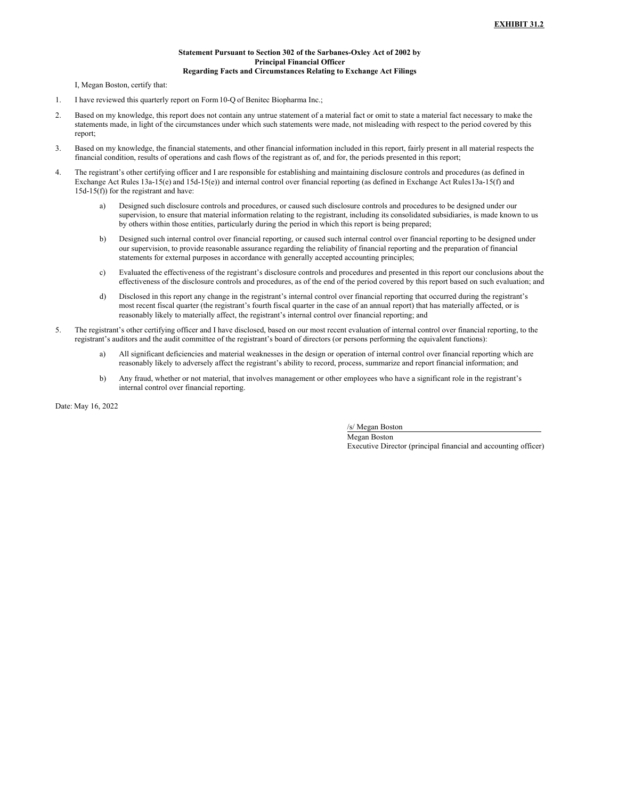#### **Statement Pursuant to Section 302 of the Sarbanes-Oxley Act of 2002 by Principal Financial Officer Regarding Facts and Circumstances Relating to Exchange Act Filings**

<span id="page-36-0"></span>I, Megan Boston, certify that:

- 1. I have reviewed this quarterly report on Form10-Q of Benitec Biopharma Inc.;
- 2. Based on my knowledge, this report does not contain any untrue statement of a material fact or omit to state a material fact necessary to make the statements made, in light of the circumstances under which such statements were made, not misleading with respect to the period covered by this report;
- 3. Based on my knowledge, the financial statements, and other financial information included in this report, fairly present in all material respects the financial condition, results of operations and cash flows of the registrant as of, and for, the periods presented in this report;
- 4. The registrant's other certifying officer and I are responsible for establishing and maintaining disclosure controls and procedures (as defined in Exchange Act Rules 13a-15(e) and 15d-15(e)) and internal control over financial reporting (as defined in Exchange Act Rules13a-15(f) and 15d-15(f)) for the registrant and have:
	- a) Designed such disclosure controls and procedures, or caused such disclosure controls and procedures to be designed under our supervision, to ensure that material information relating to the registrant, including its consolidated subsidiaries, is made known to us by others within those entities, particularly during the period in which this report is being prepared;
	- b) Designed such internal control over financial reporting, or caused such internal control over financial reporting to be designed under our supervision, to provide reasonable assurance regarding the reliability of financial reporting and the preparation of financial statements for external purposes in accordance with generally accepted accounting principles;
	- c) Evaluated the effectiveness of the registrant's disclosure controls and procedures and presented in this report our conclusions about the effectiveness of the disclosure controls and procedures, as of the end of the period covered by this report based on such evaluation; and
	- d) Disclosed in this report any change in the registrant's internal control over financial reporting that occurred during the registrant's most recent fiscal quarter (the registrant's fourth fiscal quarter in the case of an annual report) that has materially affected, or is reasonably likely to materially affect, the registrant's internal control over financial reporting; and
- 5. The registrant's other certifying officer and I have disclosed, based on our most recent evaluation of internal control over financial reporting, to the registrant's auditors and the audit committee of the registrant's board of directors (or persons performing the equivalent functions):
	- a) All significant deficiencies and material weaknesses in the design or operation of internal control over financial reporting which are reasonably likely to adversely affect the registrant's ability to record, process, summarize and report financial information; and
	- b) Any fraud, whether or not material, that involves management or other employees who have a significant role in the registrant's internal control over financial reporting.

Date: May 16, 2022

/s/ Megan Boston

Megan Boston Executive Director (principal financial and accounting officer)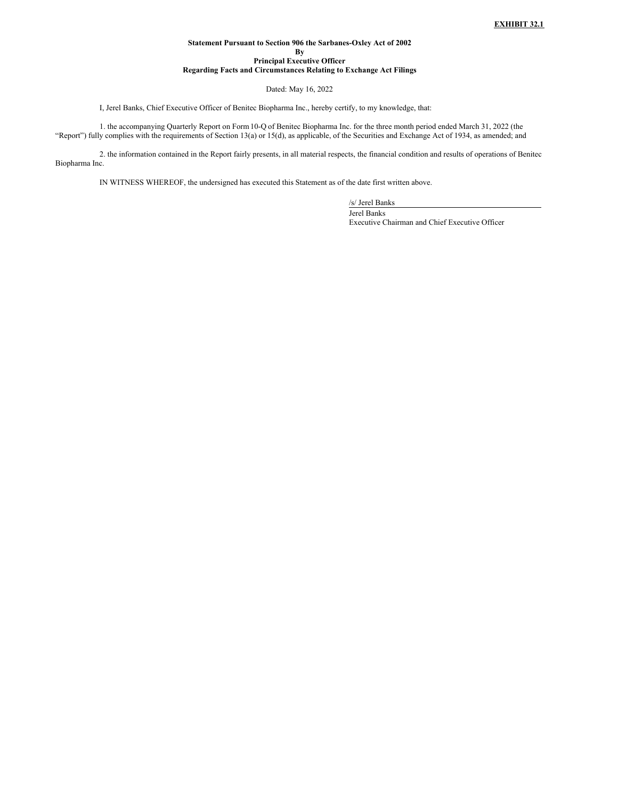#### **Statement Pursuant to Section 906 the Sarbanes-Oxley Act of 2002**

**By Principal Executive Officer**

# **Regarding Facts and Circumstances Relating to Exchange Act Filings**

Dated: May 16, 2022

I, Jerel Banks, Chief Executive Officer of Benitec Biopharma Inc., hereby certify, to my knowledge, that:

<span id="page-37-0"></span>1. the accompanying Quarterly Report on Form10-Q of Benitec Biopharma Inc. for the three month period ended March 31, 2022 (the "Report") fully complies with the requirements of Section 13(a) or 15(d), as applicable, of the Securities and Exchange Act of 1934, as amended; and

2. the information contained in the Report fairly presents, in all material respects, the financial condition and results of operations of Benitec Biopharma Inc.

IN WITNESS WHEREOF, the undersigned has executed this Statement as of the date first written above.

/s/ Jerel Banks Jerel Banks Executive Chairman and Chief Executive Officer